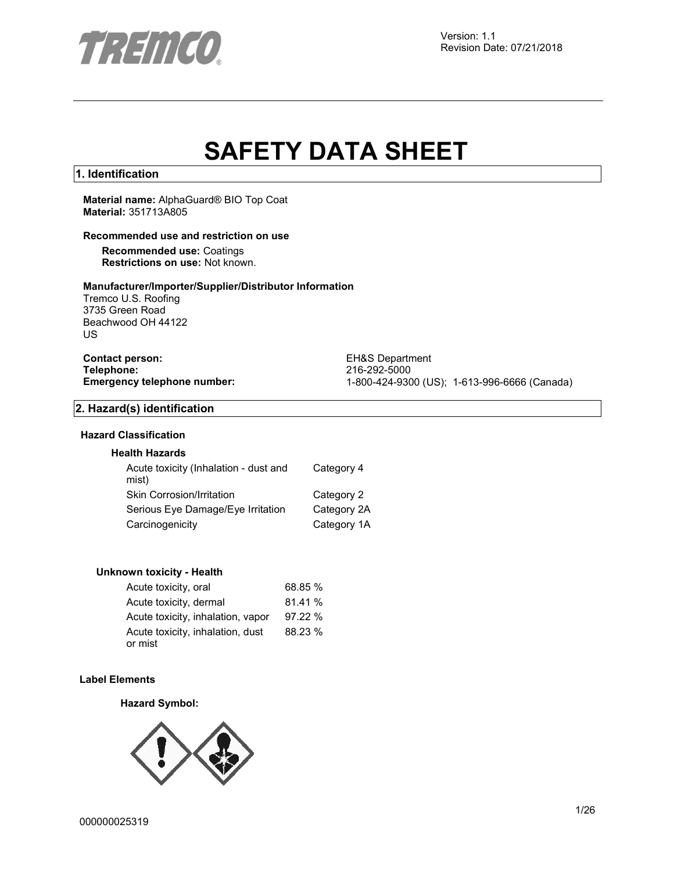

# **SAFETY DATA SHEET**

## **1. Identification**

**Material name:** AlphaGuard® BIO Top Coat **Material:** 351713A805

## **Recommended use and restriction on use**

**Recommended use:** Coatings **Restrictions on use:** Not known.

#### **Manufacturer/Importer/Supplier/Distributor Information**

Tremco U.S. Roofing 3735 Green Road Beachwood OH 44122 US

**Contact person:** EH&S Department<br>
Telephone: 216-292-5000 **Telephone:** 216-292-5000

**Emergency telephone number:** 1-800-424-9300 (US); 1-613-996-6666 (Canada)

### **2. Hazard(s) identification**

# **Hazard Classification**

## **Health Hazards**

| Acute toxicity (Inhalation - dust and<br>mist) | Category 4  |
|------------------------------------------------|-------------|
| Skin Corrosion/Irritation                      | Category 2  |
| Serious Eye Damage/Eye Irritation              | Category 2A |
| Carcinogenicity                                | Category 1A |

#### **Unknown toxicity - Health**

| Acute toxicity, oral                        | 68.85 % |
|---------------------------------------------|---------|
| Acute toxicity, dermal                      | 81.41 % |
| Acute toxicity, inhalation, vapor           | 97.22%  |
| Acute toxicity, inhalation, dust<br>or mist | 88.23 % |

#### **Label Elements**

#### **Hazard Symbol:**

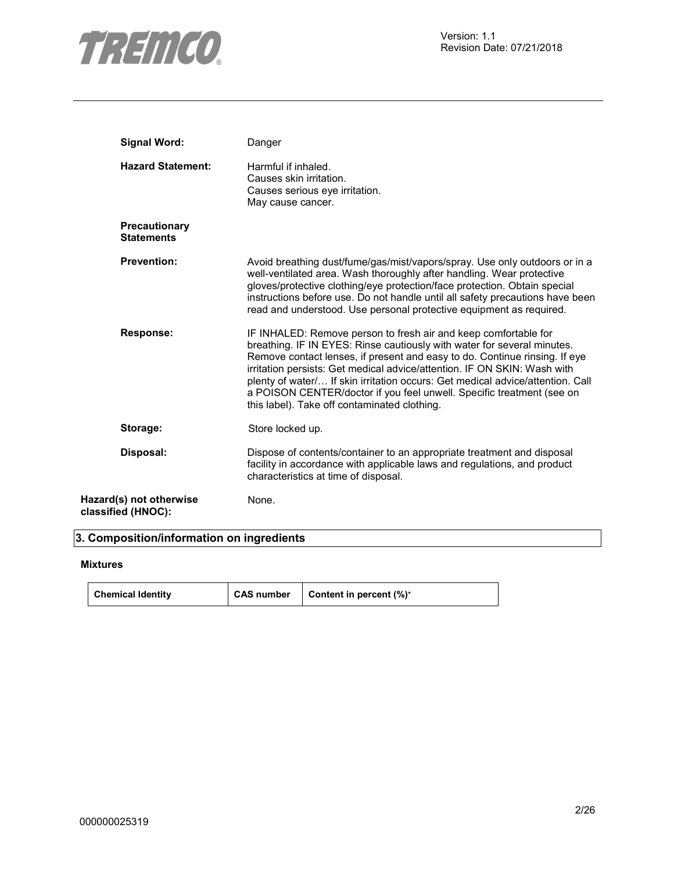

| <b>Signal Word:</b>                           | Danger                                                                                                                                                                                                                                                                                                                                                                                                                                                                                                          |
|-----------------------------------------------|-----------------------------------------------------------------------------------------------------------------------------------------------------------------------------------------------------------------------------------------------------------------------------------------------------------------------------------------------------------------------------------------------------------------------------------------------------------------------------------------------------------------|
| <b>Hazard Statement:</b>                      | Harmful if inhaled.<br>Causes skin irritation.<br>Causes serious eye irritation.<br>May cause cancer.                                                                                                                                                                                                                                                                                                                                                                                                           |
| <b>Precautionary</b><br><b>Statements</b>     |                                                                                                                                                                                                                                                                                                                                                                                                                                                                                                                 |
| <b>Prevention:</b>                            | Avoid breathing dust/fume/gas/mist/vapors/spray. Use only outdoors or in a<br>well-ventilated area. Wash thoroughly after handling. Wear protective<br>gloves/protective clothing/eye protection/face protection. Obtain special<br>instructions before use. Do not handle until all safety precautions have been<br>read and understood. Use personal protective equipment as required.                                                                                                                        |
| <b>Response:</b>                              | IF INHALED: Remove person to fresh air and keep comfortable for<br>breathing. IF IN EYES: Rinse cautiously with water for several minutes.<br>Remove contact lenses, if present and easy to do. Continue rinsing. If eye<br>irritation persists: Get medical advice/attention. IF ON SKIN: Wash with<br>plenty of water/ If skin irritation occurs: Get medical advice/attention. Call<br>a POISON CENTER/doctor if you feel unwell. Specific treatment (see on<br>this label). Take off contaminated clothing. |
| Storage:                                      | Store locked up.                                                                                                                                                                                                                                                                                                                                                                                                                                                                                                |
| Disposal:                                     | Dispose of contents/container to an appropriate treatment and disposal<br>facility in accordance with applicable laws and regulations, and product<br>characteristics at time of disposal.                                                                                                                                                                                                                                                                                                                      |
| Hazard(s) not otherwise<br>classified (HNOC): | None.                                                                                                                                                                                                                                                                                                                                                                                                                                                                                                           |

# **3. Composition/information on ingredients**

### **Mixtures**

| <b>Chemical Identity</b> | CAS number | <b>Content in percent <math>(\%)^*</math></b> |
|--------------------------|------------|-----------------------------------------------|
|--------------------------|------------|-----------------------------------------------|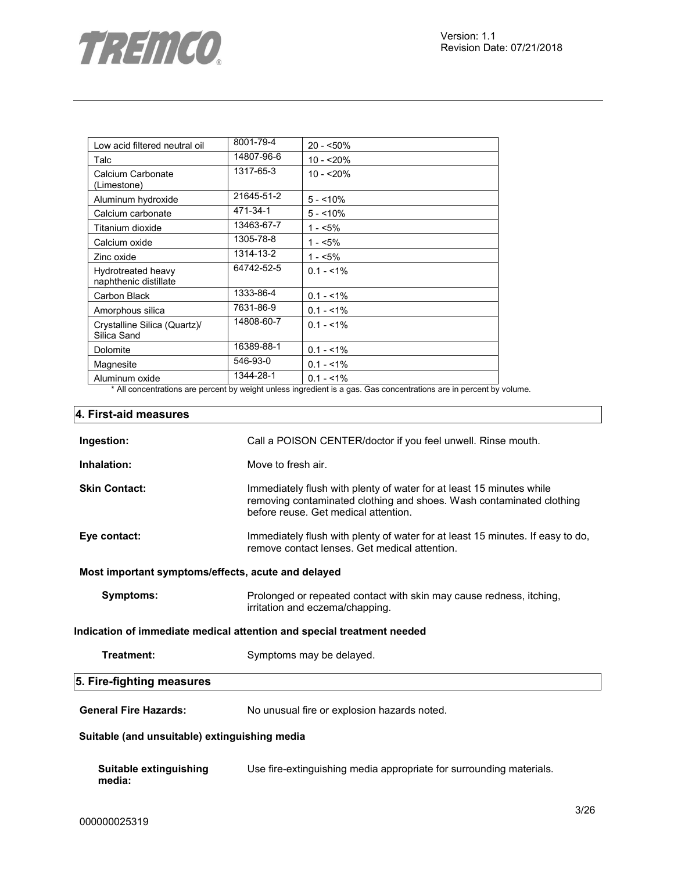

| Low acid filtered neutral oil               | 8001-79-4  | $20 - 50\%$ |
|---------------------------------------------|------------|-------------|
| Talc                                        | 14807-96-6 | $10 - 20%$  |
| Calcium Carbonate<br>(Limestone)            | 1317-65-3  | $10 - 20%$  |
| Aluminum hydroxide                          | 21645-51-2 | $5 - 10%$   |
| Calcium carbonate                           | 471-34-1   | $5 - 10%$   |
| Titanium dioxide                            | 13463-67-7 | $1 - 5%$    |
| Calcium oxide                               | 1305-78-8  | $1 - 5%$    |
| Zinc oxide                                  | 1314-13-2  | $1 - 5%$    |
| Hydrotreated heavy<br>naphthenic distillate | 64742-52-5 | $0.1 - 1\%$ |
| Carbon Black                                | 1333-86-4  | $0.1 - 1\%$ |
| Amorphous silica                            | 7631-86-9  | $0.1 - 1\%$ |
| Crystalline Silica (Quartz)/<br>Silica Sand | 14808-60-7 | $0.1 - 1\%$ |
| Dolomite                                    | 16389-88-1 | $0.1 - 1\%$ |
| Magnesite                                   | 546-93-0   | $0.1 - 1\%$ |
| Aluminum oxide                              | 1344-28-1  | $0.1 - 1\%$ |

\* All concentrations are percent by weight unless ingredient is a gas. Gas concentrations are in percent by volume.

# **4. First-aid measures**

| Ingestion:                                         | Call a POISON CENTER/doctor if you feel unwell. Rinse mouth.                                                                                                                         |  |  |
|----------------------------------------------------|--------------------------------------------------------------------------------------------------------------------------------------------------------------------------------------|--|--|
| Inhalation:                                        | Move to fresh air.                                                                                                                                                                   |  |  |
| <b>Skin Contact:</b>                               | Immediately flush with plenty of water for at least 15 minutes while<br>removing contaminated clothing and shoes. Wash contaminated clothing<br>before reuse. Get medical attention. |  |  |
| Eye contact:                                       | Immediately flush with plenty of water for at least 15 minutes. If easy to do,<br>remove contact lenses. Get medical attention.                                                      |  |  |
| Most important symptoms/effects, acute and delayed |                                                                                                                                                                                      |  |  |
| Symptoms:                                          | Prolonged or repeated contact with skin may cause redness, itching,<br>irritation and eczema/chapping.                                                                               |  |  |
|                                                    | Indication of immediate medical attention and special treatment needed                                                                                                               |  |  |
| Treatment:                                         | Symptoms may be delayed.                                                                                                                                                             |  |  |
| 5. Fire-fighting measures                          |                                                                                                                                                                                      |  |  |
| <b>General Fire Hazards:</b>                       | No unusual fire or explosion hazards noted.                                                                                                                                          |  |  |
| Suitable (and unsuitable) extinguishing media      |                                                                                                                                                                                      |  |  |
| Suitable extinguishing<br>media:                   | Use fire-extinguishing media appropriate for surrounding materials.                                                                                                                  |  |  |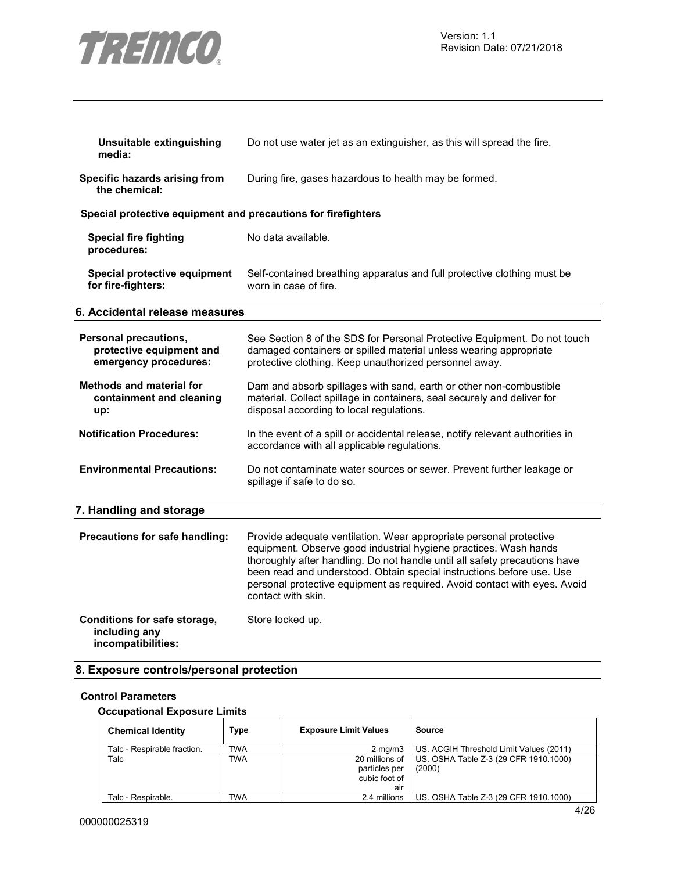

| Unsuitable extinguishing<br>media:                                         | Do not use water jet as an extinguisher, as this will spread the fire.                                                                                                                                                                                                                                                                                                                           |
|----------------------------------------------------------------------------|--------------------------------------------------------------------------------------------------------------------------------------------------------------------------------------------------------------------------------------------------------------------------------------------------------------------------------------------------------------------------------------------------|
| Specific hazards arising from<br>the chemical:                             | During fire, gases hazardous to health may be formed.                                                                                                                                                                                                                                                                                                                                            |
| Special protective equipment and precautions for firefighters              |                                                                                                                                                                                                                                                                                                                                                                                                  |
| <b>Special fire fighting</b><br>procedures:                                | No data available.                                                                                                                                                                                                                                                                                                                                                                               |
| Special protective equipment<br>for fire-fighters:                         | Self-contained breathing apparatus and full protective clothing must be<br>worn in case of fire.                                                                                                                                                                                                                                                                                                 |
| 6. Accidental release measures                                             |                                                                                                                                                                                                                                                                                                                                                                                                  |
| Personal precautions,<br>protective equipment and<br>emergency procedures: | See Section 8 of the SDS for Personal Protective Equipment. Do not touch<br>damaged containers or spilled material unless wearing appropriate<br>protective clothing. Keep unauthorized personnel away.                                                                                                                                                                                          |
| <b>Methods and material for</b><br>containment and cleaning<br>up:         | Dam and absorb spillages with sand, earth or other non-combustible<br>material. Collect spillage in containers, seal securely and deliver for<br>disposal according to local regulations.                                                                                                                                                                                                        |
| <b>Notification Procedures:</b>                                            | In the event of a spill or accidental release, notify relevant authorities in<br>accordance with all applicable regulations.                                                                                                                                                                                                                                                                     |
| <b>Environmental Precautions:</b>                                          | Do not contaminate water sources or sewer. Prevent further leakage or<br>spillage if safe to do so.                                                                                                                                                                                                                                                                                              |
| 7. Handling and storage                                                    |                                                                                                                                                                                                                                                                                                                                                                                                  |
| Precautions for safe handling:                                             | Provide adequate ventilation. Wear appropriate personal protective<br>equipment. Observe good industrial hygiene practices. Wash hands<br>thoroughly after handling. Do not handle until all safety precautions have<br>been read and understood. Obtain special instructions before use. Use<br>personal protective equipment as required. Avoid contact with eyes. Avoid<br>contact with skin. |
| Conditions for safe storage,<br>including any<br>incompatibilities:        | Store locked up.                                                                                                                                                                                                                                                                                                                                                                                 |

# **8. Exposure controls/personal protection**

## **Control Parameters**

#### **Occupational Exposure Limits**

| <b>Chemical Identity</b>    | Type       | <b>Exposure Limit Values</b>                            | Source                                          |
|-----------------------------|------------|---------------------------------------------------------|-------------------------------------------------|
| Talc - Respirable fraction. | <b>TWA</b> | $2 \text{ ma/m}$ 3                                      | US. ACGIH Threshold Limit Values (2011)         |
| Talc                        | <b>TWA</b> | 20 millions of<br>particles per<br>cubic foot of<br>air | US. OSHA Table Z-3 (29 CFR 1910.1000)<br>(2000) |
| Talc - Respirable.          | TWA        | 2.4 millions                                            | US. OSHA Table Z-3 (29 CFR 1910.1000)           |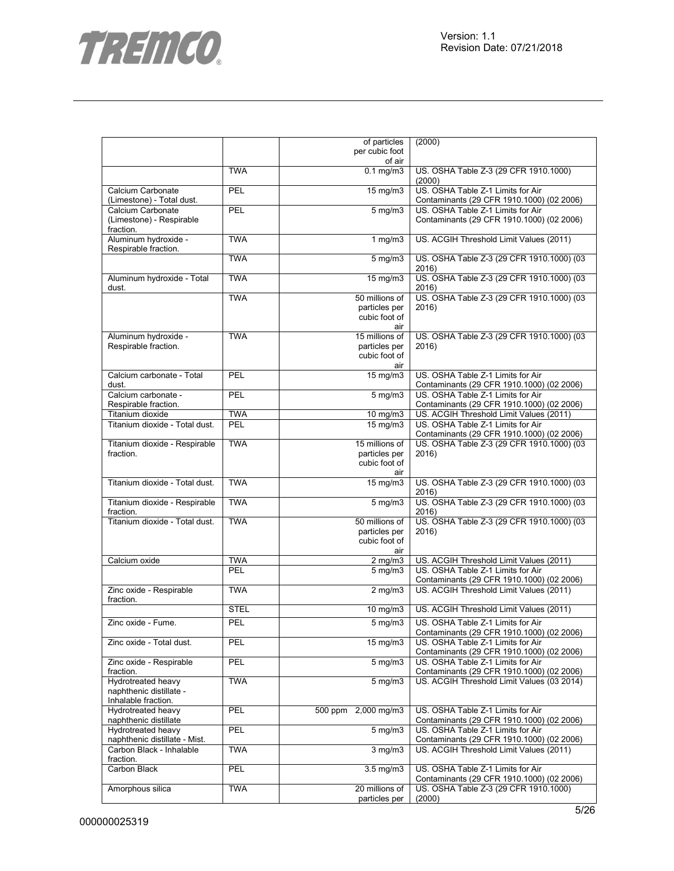



|                                            |             | of particles                   | (2000)                                                                         |
|--------------------------------------------|-------------|--------------------------------|--------------------------------------------------------------------------------|
|                                            |             | per cubic foot                 |                                                                                |
|                                            | <b>TWA</b>  | of air<br>$0.1 \text{ mg/m}$   | US. OSHA Table Z-3 (29 CFR 1910.1000)                                          |
|                                            |             |                                | (2000)                                                                         |
| Calcium Carbonate                          | PEL         | 15 mg/m3                       | US. OSHA Table Z-1 Limits for Air                                              |
| (Limestone) - Total dust.                  |             |                                | Contaminants (29 CFR 1910.1000) (02 2006)                                      |
| Calcium Carbonate                          | PEL         | $5$ mg/m $3$                   | US. OSHA Table Z-1 Limits for Air                                              |
| (Limestone) - Respirable                   |             |                                | Contaminants (29 CFR 1910.1000) (02 2006)                                      |
| fraction.                                  |             |                                |                                                                                |
| Aluminum hydroxide -                       | <b>TWA</b>  | 1 $mg/m3$                      | US. ACGIH Threshold Limit Values (2011)                                        |
| Respirable fraction.                       |             |                                |                                                                                |
|                                            | <b>TWA</b>  | $\frac{1}{5}$ mg/m3            | US. OSHA Table Z-3 (29 CFR 1910.1000) (03                                      |
|                                            |             |                                | 2016)                                                                          |
| Aluminum hydroxide - Total                 | <b>TWA</b>  | $15 \text{ mg/m}$              | US. OSHA Table Z-3 (29 CFR 1910.1000) (03                                      |
| dust.                                      | <b>TWA</b>  | 50 millions of                 | 2016)<br>US. OSHA Table Z-3 (29 CFR 1910.1000) (03                             |
|                                            |             | particles per                  | 2016)                                                                          |
|                                            |             | cubic foot of                  |                                                                                |
|                                            |             | air                            |                                                                                |
| Aluminum hydroxide -                       | <b>TWA</b>  | 15 millions of                 | US. OSHA Table Z-3 (29 CFR 1910.1000) (03                                      |
| Respirable fraction.                       |             | particles per                  | 2016)                                                                          |
|                                            |             | cubic foot of                  |                                                                                |
|                                            |             | air                            |                                                                                |
| Calcium carbonate - Total                  | PEL         | 15 mg/m3                       | US. OSHA Table Z-1 Limits for Air                                              |
| dust.                                      |             |                                | Contaminants (29 CFR 1910.1000) (02 2006)                                      |
| Calcium carbonate -                        | PEL         | $5$ mg/m $3$                   | US. OSHA Table Z-1 Limits for Air                                              |
| Respirable fraction.                       |             |                                | Contaminants (29 CFR 1910.1000) (02 2006)                                      |
| Titanium dioxide                           | <b>TWA</b>  | 10 mg/m3                       | US. ACGIH Threshold Limit Values (2011)                                        |
| Titanium dioxide - Total dust.             | PEL         | 15 mg/m3                       | US. OSHA Table Z-1 Limits for Air                                              |
|                                            | <b>TWA</b>  |                                | Contaminants (29 CFR 1910.1000) (02 2006)                                      |
| Titanium dioxide - Respirable<br>fraction. |             | 15 millions of                 | US. OSHA Table Z-3 (29 CFR 1910.1000) (03                                      |
|                                            |             | particles per<br>cubic foot of | 2016)                                                                          |
|                                            |             | air                            |                                                                                |
| Titanium dioxide - Total dust.             | <b>TWA</b>  | $15$ mg/m $3$                  | US. OSHA Table Z-3 (29 CFR 1910.1000) (03                                      |
|                                            |             |                                | 2016)                                                                          |
| Titanium dioxide - Respirable              | <b>TWA</b>  | $5 \text{ mg/m}$               | US. OSHA Table Z-3 (29 CFR 1910.1000) (03                                      |
| fraction.                                  |             |                                | 2016)                                                                          |
| Titanium dioxide - Total dust.             | <b>TWA</b>  | 50 millions of                 | US. OSHA Table Z-3 (29 CFR 1910.1000) (03                                      |
|                                            |             | particles per                  | 2016)                                                                          |
|                                            |             | cubic foot of                  |                                                                                |
|                                            |             | air                            |                                                                                |
| Calcium oxide                              | <b>TWA</b>  | $2$ mg/m $3$                   | US. ACGIH Threshold Limit Values (2011)                                        |
|                                            | PEL         | $5$ mg/m $3$                   | US. OSHA Table Z-1 Limits for Air                                              |
|                                            |             |                                | Contaminants (29 CFR 1910.1000) (02 2006)                                      |
| Zinc oxide - Respirable<br>fraction.       | <b>TWA</b>  | $2 \overline{\text{mg}}$ m3    | US. ACGIH Threshold Limit Values (2011)                                        |
|                                            | <b>STEL</b> | 10 mg/m3                       | US. ACGIH Threshold Limit Values (2011)                                        |
|                                            |             |                                |                                                                                |
| Zinc oxide - Fume.                         | PEL         | $5$ mg/m $3$                   | US. OSHA Table Z-1 Limits for Air                                              |
|                                            |             |                                | Contaminants (29 CFR 1910.1000) (02 2006)                                      |
| Zinc oxide - Total dust.                   | PEL         | 15 mg/m3                       | US. OSHA Table Z-1 Limits for Air<br>Contaminants (29 CFR 1910.1000) (02 2006) |
| Zinc oxide - Respirable                    | PEL         | $5$ mg/m $3$                   | US. OSHA Table Z-1 Limits for Air                                              |
| fraction.                                  |             |                                | Contaminants (29 CFR 1910.1000) (02 2006)                                      |
| Hydrotreated heavy                         | <b>TWA</b>  | $5$ mg/m $3$                   | US. ACGIH Threshold Limit Values (03 2014)                                     |
| naphthenic distillate -                    |             |                                |                                                                                |
| Inhalable fraction.                        |             |                                |                                                                                |
| Hydrotreated heavy                         | PEL         | 500 ppm 2,000 mg/m3            | US. OSHA Table Z-1 Limits for Air                                              |
| naphthenic distillate                      |             |                                | Contaminants (29 CFR 1910.1000) (02 2006)                                      |
| Hydrotreated heavy                         | PEL         | $5$ mg/m $3$                   | US. OSHA Table Z-1 Limits for Air                                              |
| naphthenic distillate - Mist.              |             |                                | Contaminants (29 CFR 1910.1000) (02 2006)                                      |
| Carbon Black - Inhalable                   | <b>TWA</b>  | $3$ mg/m $3$                   | US. ACGIH Threshold Limit Values (2011)                                        |
| fraction.                                  |             |                                |                                                                                |
| Carbon Black                               | PEL         | $3.5$ mg/m $3$                 | US. OSHA Table Z-1 Limits for Air                                              |
|                                            |             |                                | Contaminants (29 CFR 1910.1000) (02 2006)                                      |
| Amorphous silica                           | <b>TWA</b>  | 20 millions of                 | US. OSHA Table Z-3 (29 CFR 1910.1000)                                          |
|                                            |             | particles per                  | (2000)                                                                         |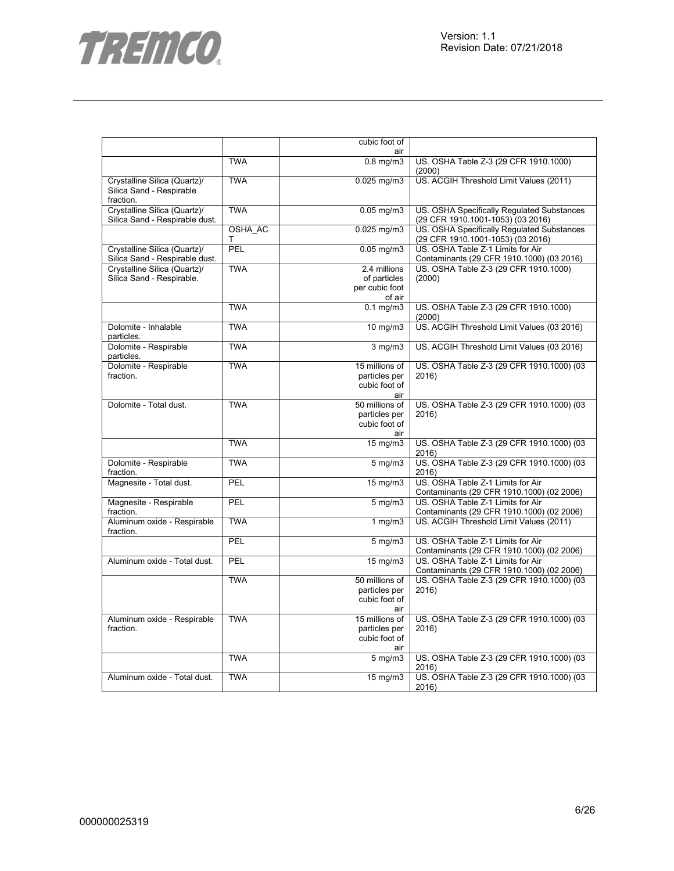



|                                                                       |              | cubic foot of                                            |                                                                                 |
|-----------------------------------------------------------------------|--------------|----------------------------------------------------------|---------------------------------------------------------------------------------|
|                                                                       |              | air                                                      |                                                                                 |
|                                                                       | <b>TWA</b>   | $0.8$ mg/m $3$                                           | US. OSHA Table Z-3 (29 CFR 1910.1000)<br>(2000)                                 |
| Crystalline Silica (Quartz)/<br>Silica Sand - Respirable<br>fraction. | <b>TWA</b>   | $0.025$ mg/m $3$                                         | US. ACGIH Threshold Limit Values (2011)                                         |
| Crystalline Silica (Quartz)/<br>Silica Sand - Respirable dust.        | <b>TWA</b>   | $0.05$ mg/m $3$                                          | US. OSHA Specifically Regulated Substances<br>(29 CFR 1910.1001-1053) (03 2016) |
|                                                                       | OSHA AC<br>т | $0.025$ mg/m $3$                                         | US. OSHA Specifically Regulated Substances<br>(29 CFR 1910.1001-1053) (03 2016) |
| Crystalline Silica (Quartz)/<br>Silica Sand - Respirable dust.        | <b>PFI</b>   | $0.05$ mg/m $3$                                          | US. OSHA Table Z-1 Limits for Air<br>Contaminants (29 CFR 1910.1000) (03 2016)  |
| Crystalline Silica (Quartz)/<br>Silica Sand - Respirable.             | <b>TWA</b>   | 2.4 millions<br>of particles<br>per cubic foot<br>of air | US. OSHA Table Z-3 (29 CFR 1910.1000)<br>(2000)                                 |
|                                                                       | <b>TWA</b>   | $0.1$ mg/m $3$                                           | US. OSHA Table Z-3 (29 CFR 1910.1000)<br>(2000)                                 |
| Dolomite - Inhalable<br>particles.                                    | <b>TWA</b>   | 10 mg/m3                                                 | US. ACGIH Threshold Limit Values (03 2016)                                      |
| Dolomite - Respirable<br>particles.                                   | <b>TWA</b>   | $3$ mg/m $3$                                             | US. ACGIH Threshold Limit Values (03 2016)                                      |
| Dolomite - Respirable<br>fraction.                                    | <b>TWA</b>   | 15 millions of<br>particles per<br>cubic foot of<br>air  | US. OSHA Table Z-3 (29 CFR 1910.1000) (03<br>2016                               |
| Dolomite - Total dust.                                                | <b>TWA</b>   | 50 millions of<br>particles per<br>cubic foot of<br>air  | US. OSHA Table Z-3 (29 CFR 1910.1000) (03<br>2016)                              |
|                                                                       | <b>TWA</b>   | 15 mg/m3                                                 | US. OSHA Table Z-3 (29 CFR 1910.1000) (03<br>2016)                              |
| Dolomite - Respirable<br>fraction.                                    | <b>TWA</b>   | $5$ mg/m $3$                                             | US. OSHA Table Z-3 (29 CFR 1910.1000) (03<br>2016)                              |
| Magnesite - Total dust.                                               | PEL          | 15 mg/m3                                                 | US. OSHA Table Z-1 Limits for Air<br>Contaminants (29 CFR 1910.1000) (02 2006)  |
| Magnesite - Respirable<br>fraction.                                   | PEL          | $5$ mg/m $3$                                             | US. OSHA Table Z-1 Limits for Air<br>Contaminants (29 CFR 1910.1000) (02 2006)  |
| Aluminum oxide - Respirable<br>fraction.                              | <b>TWA</b>   | $1$ mg/m $3$                                             | US. ACGIH Threshold Limit Values (2011)                                         |
|                                                                       | PEL          | $5$ mg/m $3$                                             | US. OSHA Table Z-1 Limits for Air<br>Contaminants (29 CFR 1910.1000) (02 2006)  |
| Aluminum oxide - Total dust.                                          | PEL          | 15 mg/m3                                                 | US. OSHA Table Z-1 Limits for Air<br>Contaminants (29 CFR 1910.1000) (02 2006)  |
|                                                                       | <b>TWA</b>   | 50 millions of<br>particles per<br>cubic foot of<br>air  | US. OSHA Table Z-3 (29 CFR 1910.1000) (03<br>2016)                              |
| Aluminum oxide - Respirable<br>fraction.                              | <b>TWA</b>   | 15 millions of<br>particles per<br>cubic foot of<br>air  | US. OSHA Table Z-3 (29 CFR 1910.1000) (03<br>2016                               |
|                                                                       | <b>TWA</b>   | $5$ mg/m $3$                                             | US. OSHA Table Z-3 (29 CFR 1910.1000) (03<br>2016)                              |
| Aluminum oxide - Total dust.                                          | <b>TWA</b>   | 15 mg/m3                                                 | US. OSHA Table Z-3 (29 CFR 1910.1000) (03<br>2016)                              |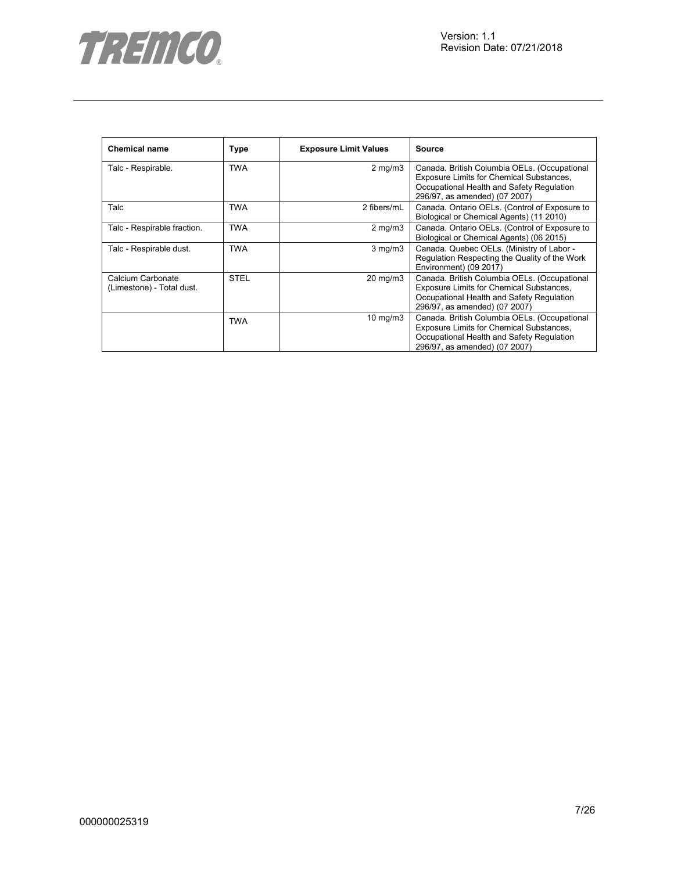

| <b>Chemical name</b>                           | <b>Type</b> | <b>Exposure Limit Values</b> | <b>Source</b>                                                                                                                                                          |
|------------------------------------------------|-------------|------------------------------|------------------------------------------------------------------------------------------------------------------------------------------------------------------------|
| Talc - Respirable.                             | <b>TWA</b>  | $2 \text{ mg/m}$             | Canada. British Columbia OELs. (Occupational<br>Exposure Limits for Chemical Substances,<br>Occupational Health and Safety Regulation<br>296/97, as amended) (07 2007) |
| Talc                                           | TWA         | 2 fibers/mL                  | Canada. Ontario OELs. (Control of Exposure to<br>Biological or Chemical Agents) (11 2010)                                                                              |
| Talc - Respirable fraction.                    | <b>TWA</b>  | $2$ mg/m $3$                 | Canada. Ontario OELs. (Control of Exposure to<br>Biological or Chemical Agents) (06 2015)                                                                              |
| Talc - Respirable dust.                        | TWA         | $3$ mg/m $3$                 | Canada. Quebec OELs. (Ministry of Labor -<br>Regulation Respecting the Quality of the Work<br>Environment) (09 2017)                                                   |
| Calcium Carbonate<br>(Limestone) - Total dust. | <b>STEL</b> | 20 mg/m3                     | Canada. British Columbia OELs. (Occupational<br>Exposure Limits for Chemical Substances,<br>Occupational Health and Safety Regulation<br>296/97, as amended) (07 2007) |
|                                                | <b>TWA</b>  | $10 \text{ mg/m}$            | Canada. British Columbia OELs. (Occupational<br>Exposure Limits for Chemical Substances,<br>Occupational Health and Safety Regulation<br>296/97, as amended) (07 2007) |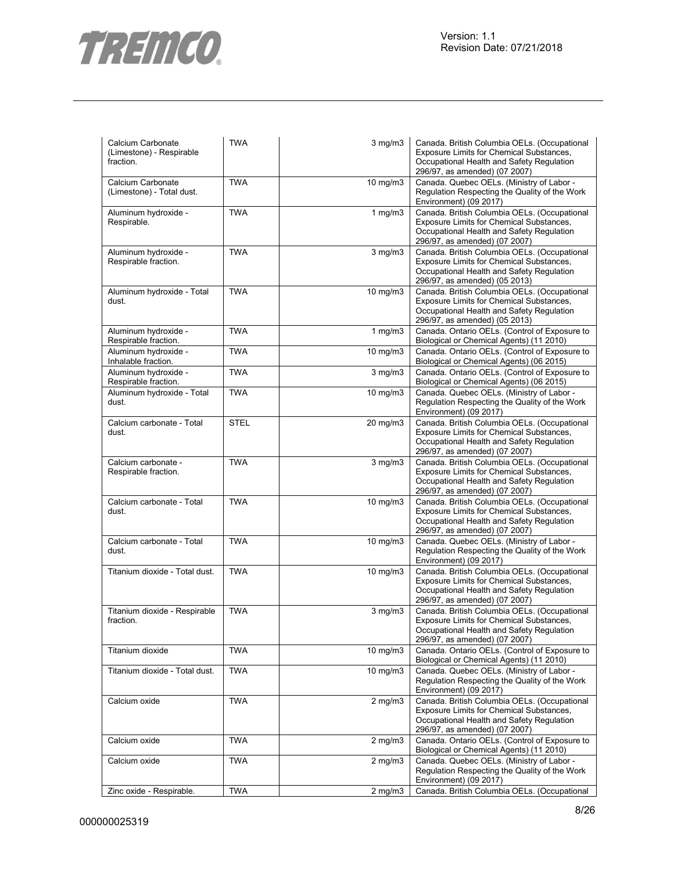

| Calcium Carbonate<br>(Limestone) - Respirable<br>fraction. | <b>TWA</b>  | $3$ mg/m $3$      | Canada. British Columbia OELs. (Occupational<br>Exposure Limits for Chemical Substances,<br>Occupational Health and Safety Regulation<br>296/97, as amended) (07 2007)        |
|------------------------------------------------------------|-------------|-------------------|-------------------------------------------------------------------------------------------------------------------------------------------------------------------------------|
| Calcium Carbonate<br>(Limestone) - Total dust.             | <b>TWA</b>  | $10 \text{ mg/m}$ | Canada. Quebec OELs. (Ministry of Labor -<br>Regulation Respecting the Quality of the Work<br>Environment) (09 2017)                                                          |
| Aluminum hydroxide -<br>Respirable.                        | <b>TWA</b>  | $1$ mg/m $3$      | Canada. British Columbia OELs. (Occupational<br>Exposure Limits for Chemical Substances,<br>Occupational Health and Safety Regulation<br>296/97, as amended) (07 2007)        |
| Aluminum hydroxide -<br>Respirable fraction.               | <b>TWA</b>  | 3 mg/m3           | Canada. British Columbia OELs. (Occupational<br>Exposure Limits for Chemical Substances,<br>Occupational Health and Safety Regulation<br>296/97, as amended) (05 2013)        |
| Aluminum hydroxide - Total<br>dust.                        | <b>TWA</b>  | 10 mg/m3          | Canada. British Columbia OELs. (Occupational<br>Exposure Limits for Chemical Substances,<br>Occupational Health and Safety Regulation<br>296/97, as amended) (05 2013)        |
| Aluminum hydroxide -<br>Respirable fraction.               | <b>TWA</b>  | $1$ mg/m $3$      | Canada. Ontario OELs. (Control of Exposure to<br>Biological or Chemical Agents) (11 2010)                                                                                     |
| Aluminum hydroxide -<br>Inhalable fraction.                | <b>TWA</b>  | $10 \text{ mg/m}$ | Canada. Ontario OELs. (Control of Exposure to<br>Biological or Chemical Agents) (06 2015)                                                                                     |
| Aluminum hydroxide -<br>Respirable fraction.               | <b>TWA</b>  | $3$ mg/m $3$      | Canada. Ontario OELs. (Control of Exposure to<br>Biological or Chemical Agents) (06 2015)                                                                                     |
| Aluminum hydroxide - Total<br>dust.                        | <b>TWA</b>  | 10 mg/m3          | Canada. Quebec OELs. (Ministry of Labor -<br>Regulation Respecting the Quality of the Work<br>Environment) (09 2017)                                                          |
| Calcium carbonate - Total<br>dust.                         | <b>STEL</b> | 20 mg/m3          | Canada. British Columbia OELs. (Occupational<br>Exposure Limits for Chemical Substances,<br>Occupational Health and Safety Regulation<br>296/97, as amended) (07 2007)        |
| Calcium carbonate -<br>Respirable fraction.                | <b>TWA</b>  | $3$ mg/m $3$      | Canada. British Columbia OELs. (Occupational<br>Exposure Limits for Chemical Substances,<br>Occupational Health and Safety Regulation<br>296/97, as amended) (07 2007)        |
| Calcium carbonate - Total<br>dust.                         | <b>TWA</b>  | 10 mg/m3          | Canada. British Columbia OELs. (Occupational<br>Exposure Limits for Chemical Substances,<br>Occupational Health and Safety Regulation<br>296/97, as amended) (07 2007)        |
| Calcium carbonate - Total<br>dust.                         | <b>TWA</b>  | $10 \text{ mg/m}$ | Canada. Quebec OELs. (Ministry of Labor -<br>Regulation Respecting the Quality of the Work<br>Environment) (09 2017)                                                          |
| Titanium dioxide - Total dust.                             | <b>TWA</b>  | 10 mg/m3          | Canada. British Columbia OELs. (Occupational<br><b>Exposure Limits for Chemical Substances,</b><br>Occupational Health and Safety Regulation<br>296/97, as amended) (07 2007) |
| Titanium dioxide - Respirable<br>fraction.                 | <b>TWA</b>  | $3$ mg/m $3$      | Canada. British Columbia OELs. (Occupational<br><b>Exposure Limits for Chemical Substances,</b><br>Occupational Health and Safety Regulation<br>296/97, as amended) (07 2007) |
| Titanium dioxide                                           | <b>TWA</b>  | $10$ mg/m $3$     | Canada. Ontario OELs. (Control of Exposure to<br>Biological or Chemical Agents) (11 2010)                                                                                     |
| Titanium dioxide - Total dust.                             | <b>TWA</b>  | $10$ mg/m $3$     | Canada. Quebec OELs. (Ministry of Labor -<br>Regulation Respecting the Quality of the Work<br>Environment) (09 2017)                                                          |
| Calcium oxide                                              | <b>TWA</b>  | $2$ mg/m $3$      | Canada. British Columbia OELs. (Occupational<br><b>Exposure Limits for Chemical Substances,</b><br>Occupational Health and Safety Regulation<br>296/97, as amended) (07 2007) |
| Calcium oxide                                              | <b>TWA</b>  | $2 \text{ mg/m}$  | Canada. Ontario OELs. (Control of Exposure to<br>Biological or Chemical Agents) (11 2010)                                                                                     |
| Calcium oxide                                              | <b>TWA</b>  | $2$ mg/m $3$      | Canada. Quebec OELs. (Ministry of Labor -<br>Regulation Respecting the Quality of the Work<br>Environment) (09 2017)                                                          |
| Zinc oxide - Respirable.                                   | <b>TWA</b>  | $2$ mg/m $3$      | Canada. British Columbia OELs. (Occupational                                                                                                                                  |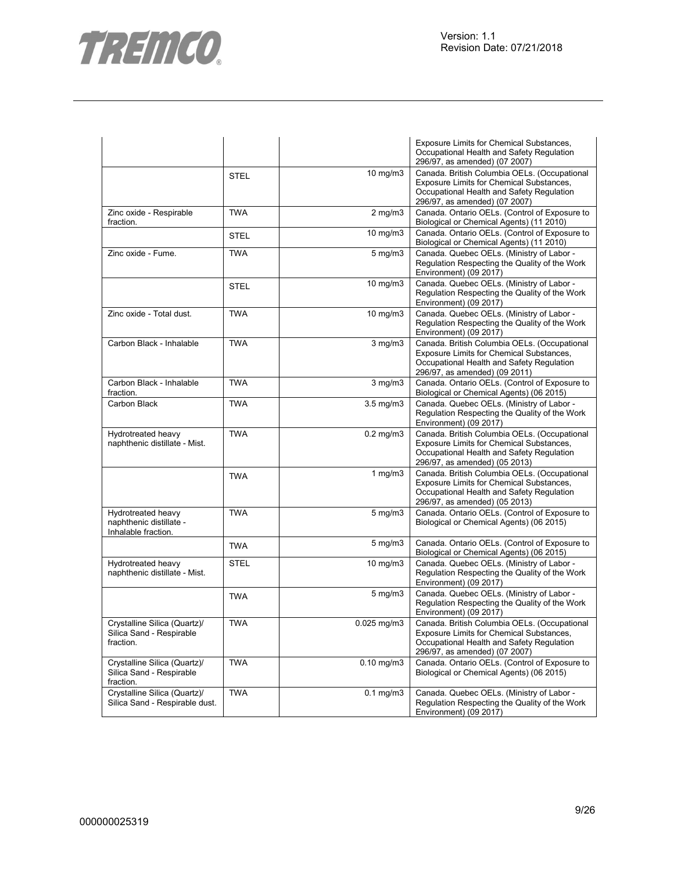

|                                                                       |             |                  | Exposure Limits for Chemical Substances,<br>Occupational Health and Safety Regulation<br>296/97, as amended) (07 2007)                                                        |
|-----------------------------------------------------------------------|-------------|------------------|-------------------------------------------------------------------------------------------------------------------------------------------------------------------------------|
|                                                                       | <b>STEL</b> | $10$ mg/m $3$    | Canada. British Columbia OELs. (Occupational<br>Exposure Limits for Chemical Substances,<br>Occupational Health and Safety Regulation<br>296/97, as amended) (07 2007)        |
| Zinc oxide - Respirable<br>fraction.                                  | <b>TWA</b>  | $2 \text{ mg/m}$ | Canada. Ontario OELs. (Control of Exposure to<br>Biological or Chemical Agents) (11 2010)                                                                                     |
|                                                                       | <b>STEL</b> | $10$ mg/m $3$    | Canada. Ontario OELs. (Control of Exposure to<br>Biological or Chemical Agents) (11 2010)                                                                                     |
| Zinc oxide - Fume.                                                    | <b>TWA</b>  | $5 \text{ mg/m}$ | Canada. Quebec OELs. (Ministry of Labor -<br>Regulation Respecting the Quality of the Work<br>Environment) (09 2017)                                                          |
|                                                                       | <b>STEL</b> | 10 mg/m3         | Canada. Quebec OELs. (Ministry of Labor -<br>Regulation Respecting the Quality of the Work<br>Environment) (09 2017)                                                          |
| Zinc oxide - Total dust.                                              | <b>TWA</b>  | $10$ mg/m $3$    | Canada. Quebec OELs. (Ministry of Labor -<br>Regulation Respecting the Quality of the Work<br>Environment) (09 2017)                                                          |
| Carbon Black - Inhalable                                              | <b>TWA</b>  | $3$ mg/m $3$     | Canada. British Columbia OELs. (Occupational<br>Exposure Limits for Chemical Substances,<br>Occupational Health and Safety Regulation<br>296/97, as amended) (09 2011)        |
| Carbon Black - Inhalable<br>fraction.                                 | <b>TWA</b>  | $3$ mg/m $3$     | Canada. Ontario OELs. (Control of Exposure to<br>Biological or Chemical Agents) (06 2015)                                                                                     |
| Carbon Black                                                          | <b>TWA</b>  | $3.5$ mg/m $3$   | Canada. Quebec OELs. (Ministry of Labor -<br>Regulation Respecting the Quality of the Work<br>Environment) (09 2017)                                                          |
| Hydrotreated heavy<br>naphthenic distillate - Mist.                   | <b>TWA</b>  | $0.2$ mg/m $3$   | Canada. British Columbia OELs. (Occupational<br><b>Exposure Limits for Chemical Substances,</b><br>Occupational Health and Safety Regulation<br>296/97, as amended) (05 2013) |
|                                                                       | <b>TWA</b>  | 1 mg/m $3$       | Canada. British Columbia OELs. (Occupational<br>Exposure Limits for Chemical Substances,<br>Occupational Health and Safety Regulation<br>296/97, as amended) (05 2013)        |
| Hydrotreated heavy<br>naphthenic distillate -<br>Inhalable fraction.  | <b>TWA</b>  | $5$ mg/m $3$     | Canada. Ontario OELs. (Control of Exposure to<br>Biological or Chemical Agents) (06 2015)                                                                                     |
|                                                                       | <b>TWA</b>  | $5 \text{ mg/m}$ | Canada. Ontario OELs. (Control of Exposure to<br>Biological or Chemical Agents) (06 2015)                                                                                     |
| Hydrotreated heavy<br>naphthenic distillate - Mist.                   | <b>STEL</b> | $10$ mg/m $3$    | Canada. Quebec OELs. (Ministry of Labor -<br>Regulation Respecting the Quality of the Work<br>Environment) (09 2017)                                                          |
|                                                                       | <b>TWA</b>  | $5$ mg/m $3$     | Canada. Quebec OELs. (Ministry of Labor -<br>Regulation Respecting the Quality of the Work<br>Environment) (09 2017)                                                          |
| Crystalline Silica (Quartz)/<br>Silica Sand - Respirable<br>fraction. | <b>TWA</b>  | $0.025$ mg/m3    | Canada. British Columbia OELs. (Occupational<br>Exposure Limits for Chemical Substances,<br>Occupational Health and Safety Regulation<br>296/97, as amended) (07 2007)        |
| Crystalline Silica (Quartz)/<br>Silica Sand - Respirable<br>fraction. | <b>TWA</b>  | $0.10$ mg/m $3$  | Canada. Ontario OELs. (Control of Exposure to<br>Biological or Chemical Agents) (06 2015)                                                                                     |
| Crystalline Silica (Quartz)/<br>Silica Sand - Respirable dust.        | <b>TWA</b>  | $0.1$ mg/m $3$   | Canada. Quebec OELs. (Ministry of Labor -<br>Regulation Respecting the Quality of the Work<br>Environment) (09 2017)                                                          |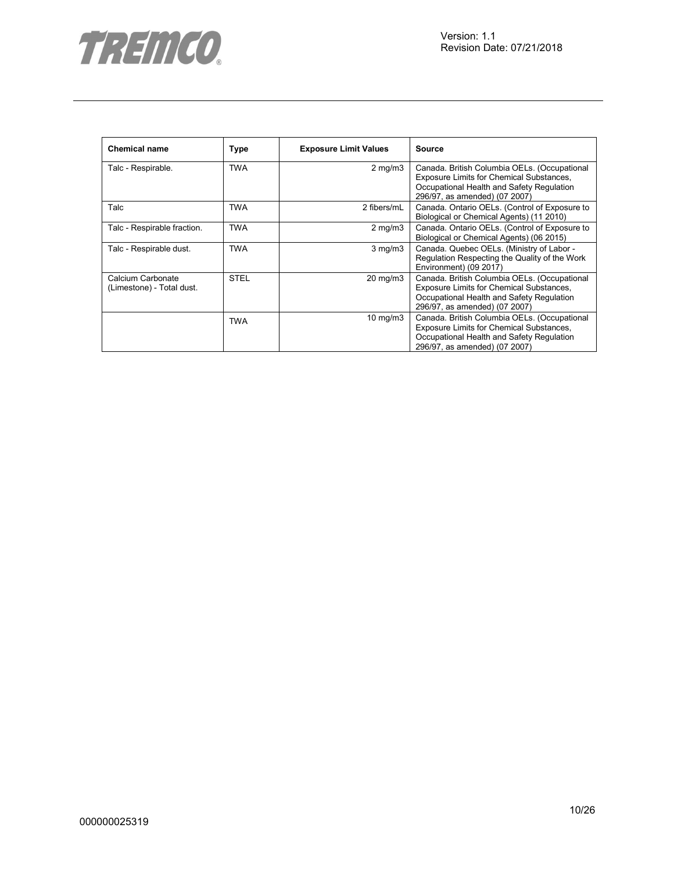

| <b>Chemical name</b>                           | <b>Type</b> | <b>Exposure Limit Values</b> | <b>Source</b>                                                                                                                                                          |
|------------------------------------------------|-------------|------------------------------|------------------------------------------------------------------------------------------------------------------------------------------------------------------------|
| Talc - Respirable.                             | <b>TWA</b>  | $2 \text{ mg/m}$             | Canada. British Columbia OELs. (Occupational<br>Exposure Limits for Chemical Substances,<br>Occupational Health and Safety Regulation<br>296/97, as amended) (07 2007) |
| Talc                                           | TWA         | 2 fibers/mL                  | Canada. Ontario OELs. (Control of Exposure to<br>Biological or Chemical Agents) (11 2010)                                                                              |
| Talc - Respirable fraction.                    | <b>TWA</b>  | $2$ mg/m $3$                 | Canada. Ontario OELs. (Control of Exposure to<br>Biological or Chemical Agents) (06 2015)                                                                              |
| Talc - Respirable dust.                        | TWA         | $3$ mg/m $3$                 | Canada. Quebec OELs. (Ministry of Labor -<br>Regulation Respecting the Quality of the Work<br>Environment) (09 2017)                                                   |
| Calcium Carbonate<br>(Limestone) - Total dust. | <b>STEL</b> | 20 mg/m3                     | Canada. British Columbia OELs. (Occupational<br>Exposure Limits for Chemical Substances,<br>Occupational Health and Safety Regulation<br>296/97, as amended) (07 2007) |
|                                                | <b>TWA</b>  | $10 \text{ mg/m}$            | Canada. British Columbia OELs. (Occupational<br>Exposure Limits for Chemical Substances,<br>Occupational Health and Safety Regulation<br>296/97, as amended) (07 2007) |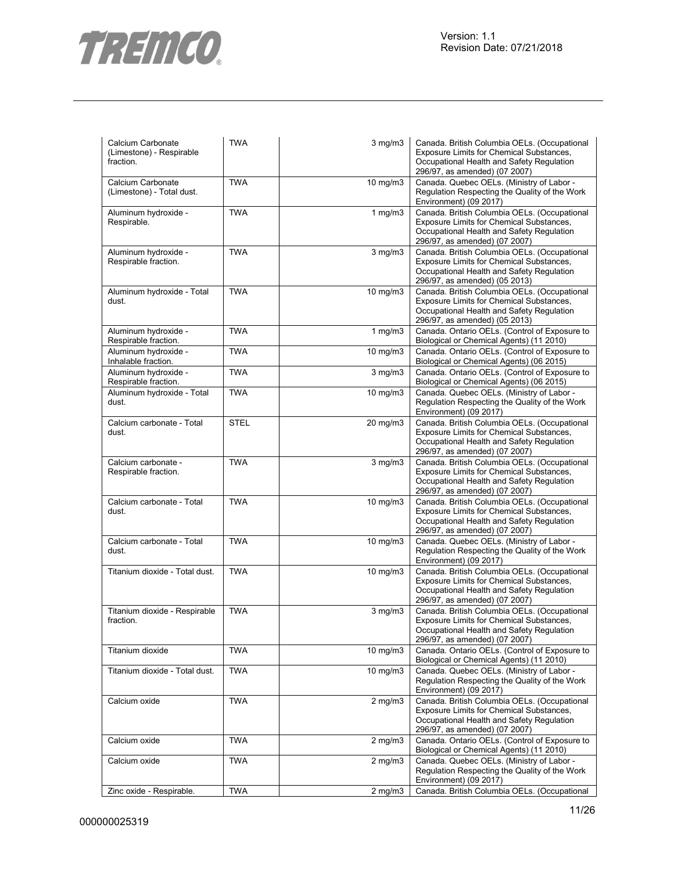

| Calcium Carbonate<br>(Limestone) - Respirable<br>fraction. | <b>TWA</b>  | $3$ mg/m $3$      | Canada. British Columbia OELs. (Occupational<br>Exposure Limits for Chemical Substances,<br>Occupational Health and Safety Regulation<br>296/97, as amended) (07 2007)        |
|------------------------------------------------------------|-------------|-------------------|-------------------------------------------------------------------------------------------------------------------------------------------------------------------------------|
| Calcium Carbonate<br>(Limestone) - Total dust.             | <b>TWA</b>  | $10 \text{ mg/m}$ | Canada. Quebec OELs. (Ministry of Labor -<br>Regulation Respecting the Quality of the Work<br>Environment) (09 2017)                                                          |
| Aluminum hydroxide -<br>Respirable.                        | <b>TWA</b>  | $1$ mg/m $3$      | Canada. British Columbia OELs. (Occupational<br>Exposure Limits for Chemical Substances,<br>Occupational Health and Safety Regulation<br>296/97, as amended) (07 2007)        |
| Aluminum hydroxide -<br>Respirable fraction.               | <b>TWA</b>  | $3$ mg/m $3$      | Canada. British Columbia OELs. (Occupational<br>Exposure Limits for Chemical Substances,<br>Occupational Health and Safety Regulation<br>296/97, as amended) (05 2013)        |
| Aluminum hydroxide - Total<br>dust.                        | <b>TWA</b>  | 10 mg/m3          | Canada. British Columbia OELs. (Occupational<br>Exposure Limits for Chemical Substances,<br>Occupational Health and Safety Regulation<br>296/97, as amended) (05 2013)        |
| Aluminum hydroxide -<br>Respirable fraction.               | <b>TWA</b>  | $1$ mg/m $3$      | Canada. Ontario OELs. (Control of Exposure to<br>Biological or Chemical Agents) (11 2010)                                                                                     |
| Aluminum hydroxide -<br>Inhalable fraction.                | <b>TWA</b>  | $10 \text{ mg/m}$ | Canada. Ontario OELs. (Control of Exposure to<br>Biological or Chemical Agents) (06 2015)                                                                                     |
| Aluminum hydroxide -<br>Respirable fraction.               | <b>TWA</b>  | $3$ mg/m $3$      | Canada. Ontario OELs. (Control of Exposure to<br>Biological or Chemical Agents) (06 2015)                                                                                     |
| Aluminum hydroxide - Total<br>dust.                        | <b>TWA</b>  | 10 mg/m3          | Canada. Quebec OELs. (Ministry of Labor -<br>Regulation Respecting the Quality of the Work<br>Environment) (09 2017)                                                          |
| Calcium carbonate - Total<br>dust.                         | <b>STEL</b> | 20 mg/m3          | Canada. British Columbia OELs. (Occupational<br>Exposure Limits for Chemical Substances,<br>Occupational Health and Safety Regulation<br>296/97, as amended) (07 2007)        |
| Calcium carbonate -<br>Respirable fraction.                | <b>TWA</b>  | $3$ mg/m $3$      | Canada. British Columbia OELs. (Occupational<br>Exposure Limits for Chemical Substances,<br>Occupational Health and Safety Regulation<br>296/97, as amended) (07 2007)        |
| Calcium carbonate - Total<br>dust.                         | <b>TWA</b>  | 10 mg/m3          | Canada. British Columbia OELs. (Occupational<br>Exposure Limits for Chemical Substances,<br>Occupational Health and Safety Regulation<br>296/97, as amended) (07 2007)        |
| Calcium carbonate - Total<br>dust.                         | <b>TWA</b>  | $10 \text{ mg/m}$ | Canada. Quebec OELs. (Ministry of Labor -<br>Regulation Respecting the Quality of the Work<br>Environment) (09 2017)                                                          |
| Titanium dioxide - Total dust.                             | <b>TWA</b>  | 10 mg/m3          | Canada. British Columbia OELs. (Occupational<br><b>Exposure Limits for Chemical Substances,</b><br>Occupational Health and Safety Regulation<br>296/97, as amended) (07 2007) |
| Titanium dioxide - Respirable<br>fraction.                 | <b>TWA</b>  | $3$ mg/m $3$      | Canada. British Columbia OELs. (Occupational<br><b>Exposure Limits for Chemical Substances,</b><br>Occupational Health and Safety Regulation<br>296/97, as amended) (07 2007) |
| Titanium dioxide                                           | <b>TWA</b>  | $10$ mg/m $3$     | Canada. Ontario OELs. (Control of Exposure to<br>Biological or Chemical Agents) (11 2010)                                                                                     |
| Titanium dioxide - Total dust.                             | <b>TWA</b>  | $10$ mg/m $3$     | Canada. Quebec OELs. (Ministry of Labor -<br>Regulation Respecting the Quality of the Work<br>Environment) (09 2017)                                                          |
| Calcium oxide                                              | <b>TWA</b>  | $2$ mg/m $3$      | Canada. British Columbia OELs. (Occupational<br><b>Exposure Limits for Chemical Substances,</b><br>Occupational Health and Safety Regulation<br>296/97, as amended) (07 2007) |
| Calcium oxide                                              | <b>TWA</b>  | $2 \text{ mg/m}$  | Canada. Ontario OELs. (Control of Exposure to<br>Biological or Chemical Agents) (11 2010)                                                                                     |
| Calcium oxide                                              | <b>TWA</b>  | $2$ mg/m $3$      | Canada. Quebec OELs. (Ministry of Labor -<br>Regulation Respecting the Quality of the Work<br>Environment) (09 2017)                                                          |
| Zinc oxide - Respirable.                                   | <b>TWA</b>  | $2$ mg/m $3$      | Canada. British Columbia OELs. (Occupational                                                                                                                                  |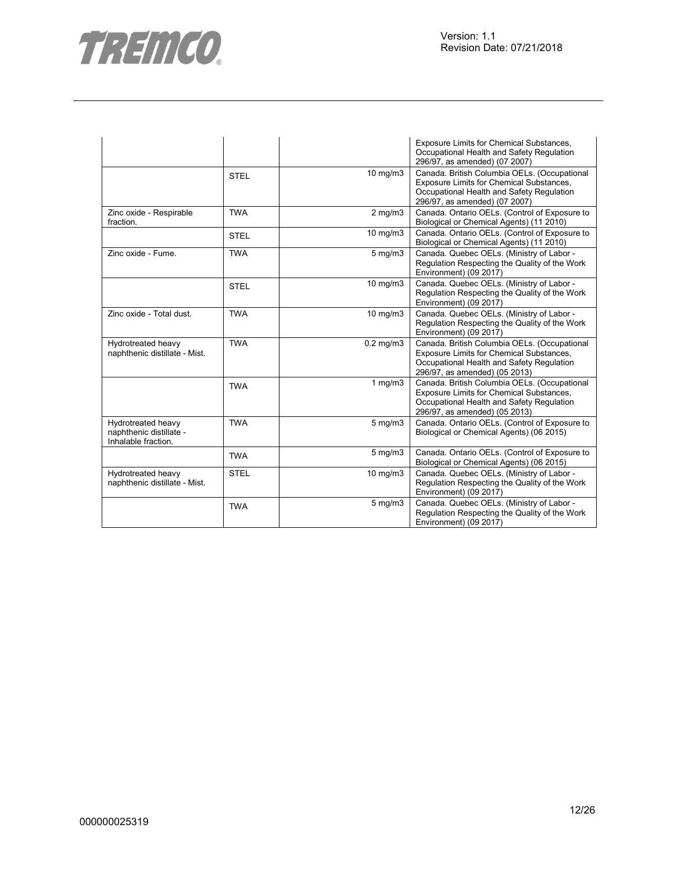

|                                                                      |             |                | <b>Exposure Limits for Chemical Substances,</b><br>Occupational Health and Safety Regulation<br>296/97, as amended) (07 2007)                                          |
|----------------------------------------------------------------------|-------------|----------------|------------------------------------------------------------------------------------------------------------------------------------------------------------------------|
|                                                                      | <b>STEL</b> | 10 mg/m3       | Canada. British Columbia OELs. (Occupational<br>Exposure Limits for Chemical Substances,<br>Occupational Health and Safety Regulation<br>296/97, as amended) (07 2007) |
| Zinc oxide - Respirable<br>fraction.                                 | <b>TWA</b>  | $2$ mg/m $3$   | Canada. Ontario OELs. (Control of Exposure to<br>Biological or Chemical Agents) (11 2010)                                                                              |
|                                                                      | <b>STEL</b> | 10 mg/m3       | Canada. Ontario OELs. (Control of Exposure to<br>Biological or Chemical Agents) (11 2010)                                                                              |
| Zinc oxide - Fume.                                                   | <b>TWA</b>  | $5$ mg/m $3$   | Canada. Quebec OELs. (Ministry of Labor -<br>Regulation Respecting the Quality of the Work<br>Environment) (09 2017)                                                   |
|                                                                      | <b>STEL</b> | 10 mg/m3       | Canada. Quebec OELs. (Ministry of Labor -<br>Regulation Respecting the Quality of the Work<br>Environment) (09 2017)                                                   |
| Zinc oxide - Total dust.                                             | <b>TWA</b>  | 10 mg/m3       | Canada. Quebec OELs. (Ministry of Labor -<br>Regulation Respecting the Quality of the Work<br>Environment) (09 2017)                                                   |
| Hydrotreated heavy<br>naphthenic distillate - Mist.                  | <b>TWA</b>  | $0.2$ mg/m $3$ | Canada. British Columbia OELs. (Occupational<br>Exposure Limits for Chemical Substances,<br>Occupational Health and Safety Regulation<br>296/97, as amended) (05 2013) |
|                                                                      | <b>TWA</b>  | 1 $mg/m3$      | Canada. British Columbia OELs. (Occupational<br>Exposure Limits for Chemical Substances,<br>Occupational Health and Safety Regulation<br>296/97, as amended) (05 2013) |
| Hydrotreated heavy<br>naphthenic distillate -<br>Inhalable fraction. | <b>TWA</b>  | $5$ mg/m $3$   | Canada. Ontario OELs. (Control of Exposure to<br>Biological or Chemical Agents) (06 2015)                                                                              |
|                                                                      | <b>TWA</b>  | 5 mg/m3        | Canada. Ontario OELs. (Control of Exposure to<br>Biological or Chemical Agents) (06 2015)                                                                              |
| Hydrotreated heavy<br>naphthenic distillate - Mist.                  | <b>STEL</b> | 10 mg/m3       | Canada. Quebec OELs. (Ministry of Labor -<br>Regulation Respecting the Quality of the Work<br>Environment) (09 2017)                                                   |
|                                                                      | <b>TWA</b>  | $5$ mg/m $3$   | Canada. Quebec OELs. (Ministry of Labor -<br>Regulation Respecting the Quality of the Work<br>Environment) (09 2017)                                                   |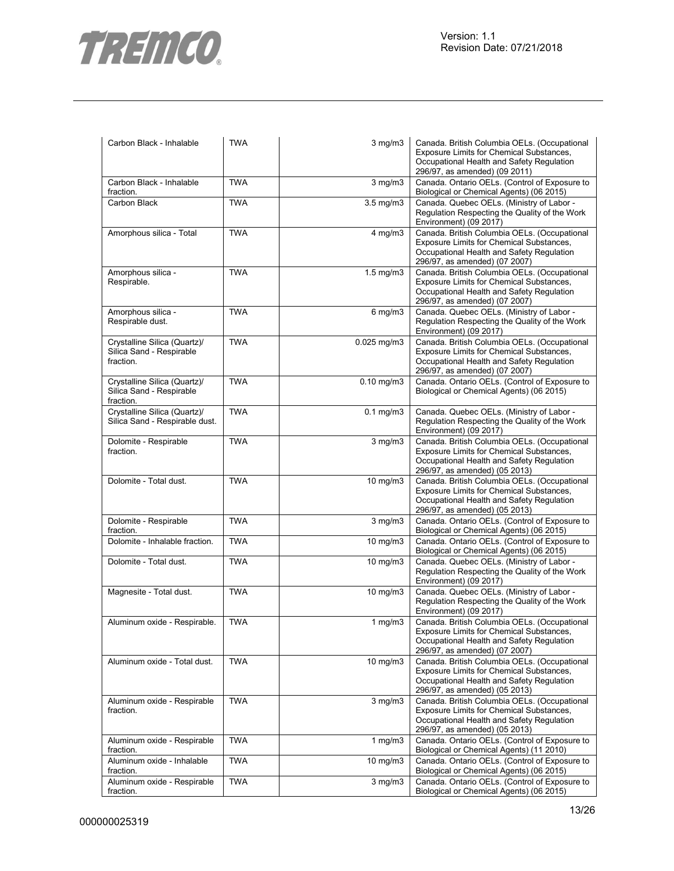

| Carbon Black - Inhalable                                              | <b>TWA</b> | $3$ mg/m $3$       | Canada. British Columbia OELs. (Occupational<br>Exposure Limits for Chemical Substances,<br>Occupational Health and Safety Regulation<br>296/97, as amended) (09 2011) |
|-----------------------------------------------------------------------|------------|--------------------|------------------------------------------------------------------------------------------------------------------------------------------------------------------------|
| Carbon Black - Inhalable<br>fraction.                                 | <b>TWA</b> | $3$ mg/m $3$       | Canada. Ontario OELs. (Control of Exposure to<br>Biological or Chemical Agents) (06 2015)                                                                              |
| Carbon Black                                                          | <b>TWA</b> | $3.5 \text{ mg/m}$ | Canada. Quebec OELs. (Ministry of Labor -<br>Regulation Respecting the Quality of the Work<br>Environment) (09 2017)                                                   |
| Amorphous silica - Total                                              | <b>TWA</b> | $4$ mg/m $3$       | Canada. British Columbia OELs. (Occupational<br>Exposure Limits for Chemical Substances,<br>Occupational Health and Safety Regulation<br>296/97, as amended) (07 2007) |
| Amorphous silica -<br>Respirable.                                     | <b>TWA</b> | $1.5$ mg/m $3$     | Canada. British Columbia OELs. (Occupational<br>Exposure Limits for Chemical Substances,<br>Occupational Health and Safety Regulation<br>296/97, as amended) (07 2007) |
| Amorphous silica -<br>Respirable dust.                                | <b>TWA</b> | $6$ mg/m $3$       | Canada. Quebec OELs. (Ministry of Labor -<br>Regulation Respecting the Quality of the Work<br>Environment) (09 2017)                                                   |
| Crystalline Silica (Quartz)/<br>Silica Sand - Respirable<br>fraction. | <b>TWA</b> | 0.025 mg/m3        | Canada. British Columbia OELs. (Occupational<br>Exposure Limits for Chemical Substances,<br>Occupational Health and Safety Regulation<br>296/97, as amended) (07 2007) |
| Crystalline Silica (Quartz)/<br>Silica Sand - Respirable<br>fraction. | <b>TWA</b> | $0.10$ mg/m $3$    | Canada. Ontario OELs. (Control of Exposure to<br>Biological or Chemical Agents) (06 2015)                                                                              |
| Crystalline Silica (Quartz)/<br>Silica Sand - Respirable dust.        | <b>TWA</b> | $0.1$ mg/m $3$     | Canada. Quebec OELs. (Ministry of Labor -<br>Regulation Respecting the Quality of the Work<br>Environment) (09 2017)                                                   |
| Dolomite - Respirable<br>fraction.                                    | <b>TWA</b> | $3$ mg/m $3$       | Canada. British Columbia OELs. (Occupational<br>Exposure Limits for Chemical Substances,<br>Occupational Health and Safety Regulation<br>296/97, as amended) (05 2013) |
| Dolomite - Total dust.                                                | <b>TWA</b> | 10 mg/m3           | Canada. British Columbia OELs. (Occupational<br>Exposure Limits for Chemical Substances,<br>Occupational Health and Safety Regulation<br>296/97, as amended) (05 2013) |
| Dolomite - Respirable<br>fraction.                                    | <b>TWA</b> | $3$ mg/m $3$       | Canada. Ontario OELs. (Control of Exposure to<br>Biological or Chemical Agents) (06 2015)                                                                              |
| Dolomite - Inhalable fraction.                                        | <b>TWA</b> | $10 \text{ mg/m}$  | Canada. Ontario OELs. (Control of Exposure to<br>Biological or Chemical Agents) (06 2015)                                                                              |
| Dolomite - Total dust.                                                | <b>TWA</b> | 10 mg/m3           | Canada. Quebec OELs. (Ministry of Labor -<br>Regulation Respecting the Quality of the Work<br>Environment) (09 2017)                                                   |
| Magnesite - Total dust.                                               | <b>TWA</b> | 10 mg/m3           | Canada. Quebec OELs. (Ministry of Labor -<br>Regulation Respecting the Quality of the Work<br>Environment) (09 2017)                                                   |
| Aluminum oxide - Respirable.                                          | <b>TWA</b> | $1$ mg/m $3$       | Canada. British Columbia OELs. (Occupational<br>Exposure Limits for Chemical Substances,<br>Occupational Health and Safety Regulation<br>296/97, as amended) (07 2007) |
| Aluminum oxide - Total dust.                                          | <b>TWA</b> | 10 mg/m3           | Canada. British Columbia OELs. (Occupational<br>Exposure Limits for Chemical Substances,<br>Occupational Health and Safety Regulation<br>296/97, as amended) (05 2013) |
| Aluminum oxide - Respirable<br>fraction.                              | <b>TWA</b> | $3$ mg/m $3$       | Canada. British Columbia OELs. (Occupational<br>Exposure Limits for Chemical Substances,<br>Occupational Health and Safety Regulation<br>296/97, as amended) (05 2013) |
| Aluminum oxide - Respirable<br>fraction.                              | <b>TWA</b> | 1 $mg/m3$          | Canada. Ontario OELs. (Control of Exposure to<br>Biological or Chemical Agents) (11 2010)                                                                              |
| Aluminum oxide - Inhalable<br>fraction.                               | <b>TWA</b> | 10 mg/m3           | Canada. Ontario OELs. (Control of Exposure to<br>Biological or Chemical Agents) (06 2015)                                                                              |
| Aluminum oxide - Respirable<br>fraction.                              | <b>TWA</b> | $3$ mg/m $3$       | Canada. Ontario OELs. (Control of Exposure to<br>Biological or Chemical Agents) (06 2015)                                                                              |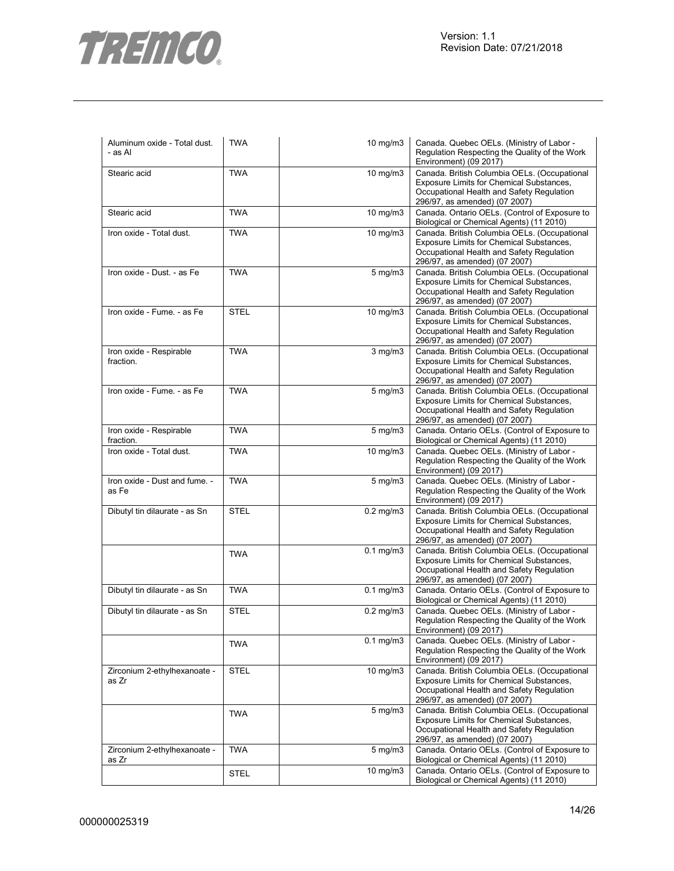

| Aluminum oxide - Total dust.<br>- as Al | <b>TWA</b>  | 10 mg/m3         | Canada. Quebec OELs. (Ministry of Labor -<br>Regulation Respecting the Quality of the Work<br>Environment) (09 2017)                                                   |
|-----------------------------------------|-------------|------------------|------------------------------------------------------------------------------------------------------------------------------------------------------------------------|
| Stearic acid                            | <b>TWA</b>  | 10 mg/m3         | Canada. British Columbia OELs. (Occupational<br>Exposure Limits for Chemical Substances,<br>Occupational Health and Safety Regulation<br>296/97, as amended) (07 2007) |
| Stearic acid                            | <b>TWA</b>  | 10 mg/m3         | Canada. Ontario OELs. (Control of Exposure to<br>Biological or Chemical Agents) (11 2010)                                                                              |
| Iron oxide - Total dust.                | <b>TWA</b>  | 10 mg/m3         | Canada. British Columbia OELs. (Occupational<br>Exposure Limits for Chemical Substances,<br>Occupational Health and Safety Regulation<br>296/97, as amended) (07 2007) |
| Iron oxide - Dust. - as Fe              | <b>TWA</b>  | $5 \text{ mg/m}$ | Canada. British Columbia OELs. (Occupational<br>Exposure Limits for Chemical Substances,<br>Occupational Health and Safety Regulation<br>296/97, as amended) (07 2007) |
| Iron oxide - Fume. - as Fe              | <b>STEL</b> | 10 mg/m3         | Canada. British Columbia OELs. (Occupational<br>Exposure Limits for Chemical Substances,<br>Occupational Health and Safety Regulation<br>296/97, as amended) (07 2007) |
| Iron oxide - Respirable<br>fraction.    | <b>TWA</b>  | $3$ mg/m $3$     | Canada. British Columbia OELs. (Occupational<br>Exposure Limits for Chemical Substances,<br>Occupational Health and Safety Regulation<br>296/97, as amended) (07 2007) |
| Iron oxide - Fume. - as Fe              | <b>TWA</b>  | $5 \text{ mg/m}$ | Canada. British Columbia OELs. (Occupational<br>Exposure Limits for Chemical Substances,<br>Occupational Health and Safety Regulation<br>296/97, as amended) (07 2007) |
| Iron oxide - Respirable<br>fraction.    | <b>TWA</b>  | $5$ mg/m $3$     | Canada. Ontario OELs. (Control of Exposure to<br>Biological or Chemical Agents) (11 2010)                                                                              |
| Iron oxide - Total dust.                | <b>TWA</b>  | 10 mg/m3         | Canada. Quebec OELs. (Ministry of Labor -<br>Regulation Respecting the Quality of the Work<br>Environment) (09 2017)                                                   |
| Iron oxide - Dust and fume. -<br>as Fe  | <b>TWA</b>  | $5$ mg/m $3$     | Canada. Quebec OELs. (Ministry of Labor -<br>Regulation Respecting the Quality of the Work<br>Environment) (09 2017)                                                   |
| Dibutyl tin dilaurate - as Sn           | <b>STEL</b> | $0.2$ mg/m $3$   | Canada. British Columbia OELs. (Occupational<br>Exposure Limits for Chemical Substances,<br>Occupational Health and Safety Regulation<br>296/97, as amended) (07 2007) |
|                                         | <b>TWA</b>  | $0.1$ mg/m $3$   | Canada. British Columbia OELs. (Occupational<br>Exposure Limits for Chemical Substances,<br>Occupational Health and Safety Regulation<br>296/97, as amended) (07 2007) |
| Dibutyl tin dilaurate - as Sn           | <b>TWA</b>  | $0.1$ mg/m $3$   | Canada. Ontario OELs. (Control of Exposure to<br>Biological or Chemical Agents) (11 2010)                                                                              |
| Dibutyl tin dilaurate - as Sn           | <b>STEL</b> | $0.2$ mg/m $3$   | Canada. Quebec OELs. (Ministry of Labor -<br>Regulation Respecting the Quality of the Work<br>Environment) (09 2017)                                                   |
|                                         | <b>TWA</b>  | $0.1$ mg/m $3$   | Canada. Quebec OELs. (Ministry of Labor -<br>Regulation Respecting the Quality of the Work<br>Environment) (09 2017)                                                   |
| Zirconium 2-ethylhexanoate -<br>as Zr   | <b>STEL</b> | 10 mg/m3         | Canada. British Columbia OELs. (Occupational<br>Exposure Limits for Chemical Substances,<br>Occupational Health and Safety Regulation<br>296/97, as amended) (07 2007) |
|                                         | <b>TWA</b>  | $5 \text{ mg/m}$ | Canada. British Columbia OELs. (Occupational<br>Exposure Limits for Chemical Substances,<br>Occupational Health and Safety Regulation<br>296/97, as amended) (07 2007) |
| Zirconium 2-ethylhexanoate -<br>as Zr   | <b>TWA</b>  | $5 \text{ mg/m}$ | Canada. Ontario OELs. (Control of Exposure to<br>Biological or Chemical Agents) (11 2010)                                                                              |
|                                         | <b>STEL</b> | $10$ mg/m $3$    | Canada. Ontario OELs. (Control of Exposure to<br>Biological or Chemical Agents) (11 2010)                                                                              |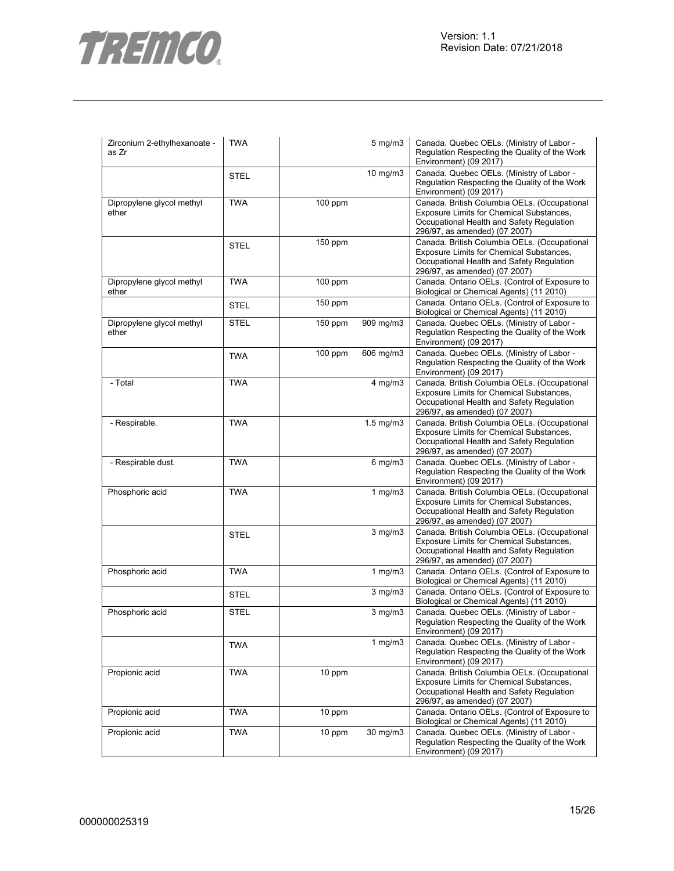

| Zirconium 2-ethylhexanoate -<br>as Zr | <b>TWA</b>  |           | $5 \text{ mg/m}$        | Canada. Quebec OELs. (Ministry of Labor -<br>Regulation Respecting the Quality of the Work<br>Environment) (09 2017)                                                   |
|---------------------------------------|-------------|-----------|-------------------------|------------------------------------------------------------------------------------------------------------------------------------------------------------------------|
|                                       | <b>STEL</b> |           | 10 mg/m3                | Canada. Quebec OELs. (Ministry of Labor -<br>Regulation Respecting the Quality of the Work<br>Environment) (09 2017)                                                   |
| Dipropylene glycol methyl<br>ether    | <b>TWA</b>  | $100$ ppm |                         | Canada. British Columbia OELs. (Occupational<br>Exposure Limits for Chemical Substances,<br>Occupational Health and Safety Regulation<br>296/97, as amended) (07 2007) |
|                                       | <b>STEL</b> | $150$ ppm |                         | Canada. British Columbia OELs. (Occupational<br>Exposure Limits for Chemical Substances,<br>Occupational Health and Safety Regulation<br>296/97, as amended) (07 2007) |
| Dipropylene glycol methyl<br>ether    | <b>TWA</b>  | $100$ ppm |                         | Canada. Ontario OELs. (Control of Exposure to<br>Biological or Chemical Agents) (11 2010)                                                                              |
|                                       | <b>STEL</b> | $150$ ppm |                         | Canada. Ontario OELs. (Control of Exposure to<br>Biological or Chemical Agents) (11 2010)                                                                              |
| Dipropylene glycol methyl<br>ether    | <b>STEL</b> | $150$ ppm | 909 mg/m3               | Canada. Quebec OELs. (Ministry of Labor -<br>Regulation Respecting the Quality of the Work<br>Environment) (09 2017)                                                   |
|                                       | <b>TWA</b>  | $100$ ppm | 606 mg/m3               | Canada. Quebec OELs. (Ministry of Labor -<br>Regulation Respecting the Quality of the Work<br>Environment) (09 2017)                                                   |
| - Total                               | <b>TWA</b>  |           | $4$ mg/m $3$            | Canada. British Columbia OELs. (Occupational<br>Exposure Limits for Chemical Substances,<br>Occupational Health and Safety Regulation<br>296/97, as amended) (07 2007) |
| - Respirable.                         | <b>TWA</b>  |           | $1.5 \text{ mg/m}$      | Canada. British Columbia OELs. (Occupational<br>Exposure Limits for Chemical Substances,<br>Occupational Health and Safety Regulation<br>296/97, as amended) (07 2007) |
| - Respirable dust.                    | <b>TWA</b>  |           | $6$ mg/m $3$            | Canada. Quebec OELs. (Ministry of Labor -<br>Regulation Respecting the Quality of the Work<br>Environment) (09 2017)                                                   |
| Phosphoric acid                       | <b>TWA</b>  |           | 1 $mg/m3$               | Canada. British Columbia OELs. (Occupational<br>Exposure Limits for Chemical Substances,<br>Occupational Health and Safety Regulation<br>296/97, as amended) (07 2007) |
|                                       | <b>STEL</b> |           | $3$ mg/m $3$            | Canada. British Columbia OELs. (Occupational<br>Exposure Limits for Chemical Substances,<br>Occupational Health and Safety Regulation<br>296/97, as amended) (07 2007) |
| Phosphoric acid                       | <b>TWA</b>  |           | 1 $mg/m3$               | Canada. Ontario OELs. (Control of Exposure to<br>Biological or Chemical Agents) (11 2010)                                                                              |
|                                       | <b>STEL</b> |           | $3$ mg/m $3$            | Canada. Ontario OELs. (Control of Exposure to<br>Biological or Chemical Agents) (11 2010)                                                                              |
| Phosphoric acid                       | <b>STEL</b> |           | $\overline{3}$ mg/m $3$ | Canada. Quebec OELs. (Ministry of Labor -<br>Regulation Respecting the Quality of the Work<br>Environment) (09 2017)                                                   |
|                                       | <b>TWA</b>  |           | $1$ mg/m $3$            | Canada. Quebec OELs. (Ministry of Labor -<br>Regulation Respecting the Quality of the Work<br>Environment) (09 2017)                                                   |
| Propionic acid                        | <b>TWA</b>  | 10 ppm    |                         | Canada. British Columbia OELs. (Occupational<br>Exposure Limits for Chemical Substances,<br>Occupational Health and Safety Regulation<br>296/97, as amended) (07 2007) |
| Propionic acid                        | <b>TWA</b>  | 10 ppm    |                         | Canada. Ontario OELs. (Control of Exposure to<br>Biological or Chemical Agents) (11 2010)                                                                              |
| Propionic acid                        | <b>TWA</b>  | 10 ppm    | 30 mg/m3                | Canada. Quebec OELs. (Ministry of Labor -<br>Regulation Respecting the Quality of the Work<br>Environment) (09 2017)                                                   |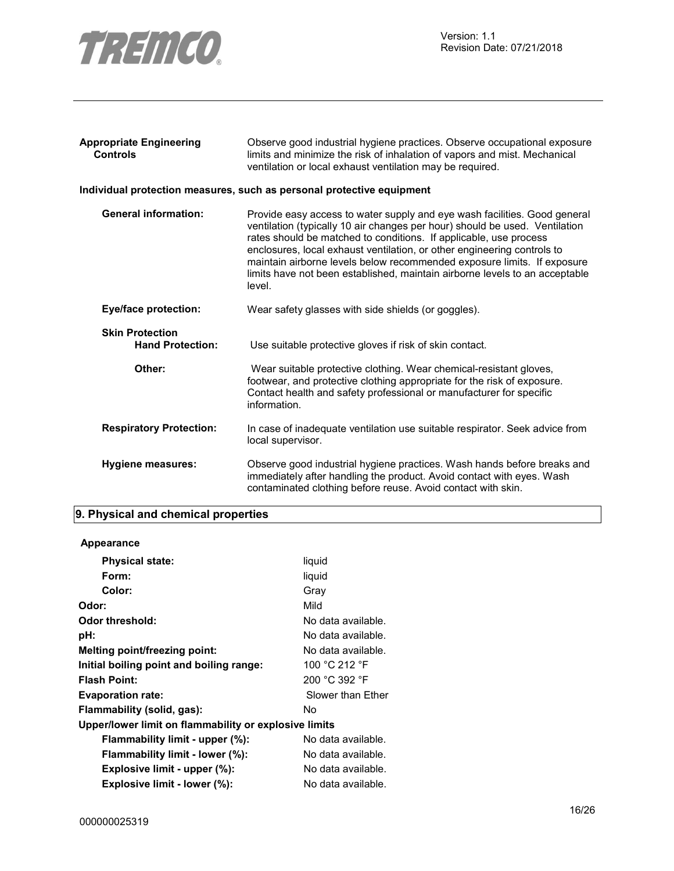

| Observe good industrial hygiene practices. Observe occupational exposure<br>limits and minimize the risk of inhalation of vapors and mist. Mechanical<br>ventilation or local exhaust ventilation may be required.                                                                                                                                                                                                                                                           |
|------------------------------------------------------------------------------------------------------------------------------------------------------------------------------------------------------------------------------------------------------------------------------------------------------------------------------------------------------------------------------------------------------------------------------------------------------------------------------|
| Individual protection measures, such as personal protective equipment                                                                                                                                                                                                                                                                                                                                                                                                        |
| Provide easy access to water supply and eye wash facilities. Good general<br>ventilation (typically 10 air changes per hour) should be used. Ventilation<br>rates should be matched to conditions. If applicable, use process<br>enclosures, local exhaust ventilation, or other engineering controls to<br>maintain airborne levels below recommended exposure limits. If exposure<br>limits have not been established, maintain airborne levels to an acceptable<br>level. |
| Wear safety glasses with side shields (or goggles).                                                                                                                                                                                                                                                                                                                                                                                                                          |
| Use suitable protective gloves if risk of skin contact.                                                                                                                                                                                                                                                                                                                                                                                                                      |
| Wear suitable protective clothing. Wear chemical-resistant gloves,<br>footwear, and protective clothing appropriate for the risk of exposure.<br>Contact health and safety professional or manufacturer for specific<br>information.                                                                                                                                                                                                                                         |
| In case of inadequate ventilation use suitable respirator. Seek advice from<br>local supervisor.                                                                                                                                                                                                                                                                                                                                                                             |
| Observe good industrial hygiene practices. Wash hands before breaks and<br>immediately after handling the product. Avoid contact with eyes. Wash<br>contaminated clothing before reuse. Avoid contact with skin.                                                                                                                                                                                                                                                             |
|                                                                                                                                                                                                                                                                                                                                                                                                                                                                              |

# **9. Physical and chemical properties**

# **Appearance**

| <b>Physical state:</b>                                | liquid             |
|-------------------------------------------------------|--------------------|
| Form:                                                 | liquid             |
| Color:                                                | Gray               |
| Odor:                                                 | Mild               |
| Odor threshold:                                       | No data available. |
| pH:                                                   | No data available. |
| Melting point/freezing point:                         | No data available. |
| Initial boiling point and boiling range:              | 100 °C 212 °F      |
| <b>Flash Point:</b>                                   | 200 °C 392 °F      |
| <b>Evaporation rate:</b>                              | Slower than Ether  |
| Flammability (solid, gas):                            | No                 |
| Upper/lower limit on flammability or explosive limits |                    |
| Flammability limit - upper (%):                       | No data available. |
| Flammability limit - lower (%):                       | No data available. |
| Explosive limit - upper (%):                          | No data available. |
| Explosive limit - lower (%):                          | No data available. |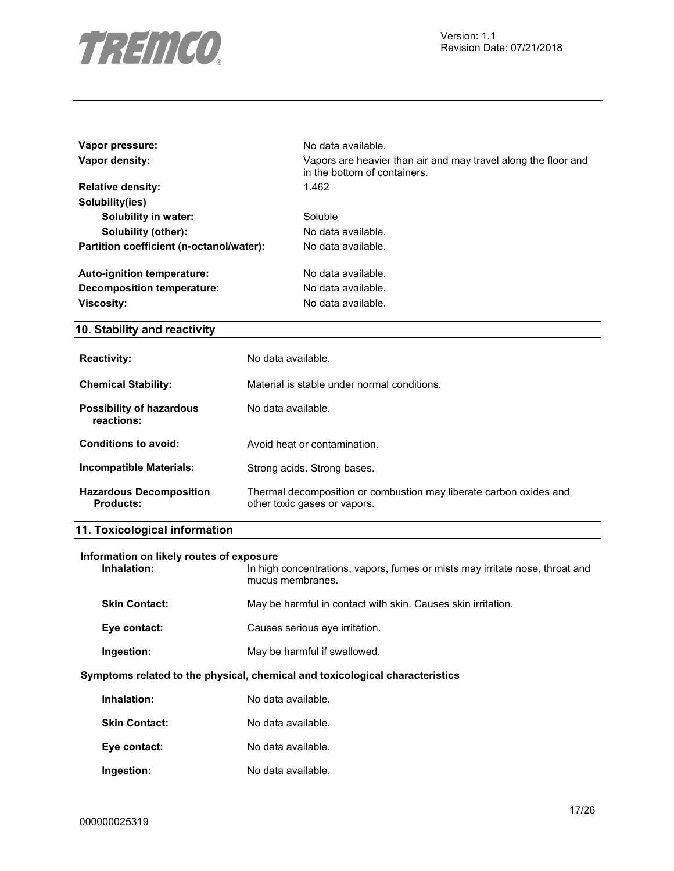

| Vapor pressure:                          | No data available.                                                                             |
|------------------------------------------|------------------------------------------------------------------------------------------------|
| Vapor density:                           | Vapors are heavier than air and may travel along the floor and<br>in the bottom of containers. |
| <b>Relative density:</b>                 | 1.462                                                                                          |
| Solubility(ies)                          |                                                                                                |
| Solubility in water:                     | Soluble                                                                                        |
| Solubility (other):                      | No data available.                                                                             |
| Partition coefficient (n-octanol/water): | No data available.                                                                             |
| Auto-ignition temperature:               | No data available.                                                                             |
| Decomposition temperature:               | No data available.                                                                             |
| <b>Viscosity:</b>                        | No data available.                                                                             |

# **10. Stability and reactivity**

| <b>Reactivity:</b>                          | No data available.                                                                                 |
|---------------------------------------------|----------------------------------------------------------------------------------------------------|
| <b>Chemical Stability:</b>                  | Material is stable under normal conditions.                                                        |
| Possibility of hazardous<br>reactions:      | No data available.                                                                                 |
| Conditions to avoid:                        | Avoid heat or contamination.                                                                       |
| Incompatible Materials:                     | Strong acids. Strong bases.                                                                        |
| <b>Hazardous Decomposition</b><br>Products: | Thermal decomposition or combustion may liberate carbon oxides and<br>other toxic gases or vapors. |

# **11. Toxicological information**

| Information on likely routes of exposure<br>Inhalation: | In high concentrations, vapors, fumes or mists may irritate nose, throat and<br>mucus membranes. |
|---------------------------------------------------------|--------------------------------------------------------------------------------------------------|
| <b>Skin Contact:</b>                                    | May be harmful in contact with skin. Causes skin irritation.                                     |
| Eye contact:                                            | Causes serious eye irritation.                                                                   |
| Ingestion:                                              | May be harmful if swallowed.                                                                     |
|                                                         | Symptoms related to the physical, chemical and toxicological characteristics                     |
| Inhalation:                                             | No data available.                                                                               |
| <b>Skin Contact:</b>                                    | No data available.                                                                               |
| Eye contact:                                            | No data available.                                                                               |
| Ingestion:                                              | No data available.                                                                               |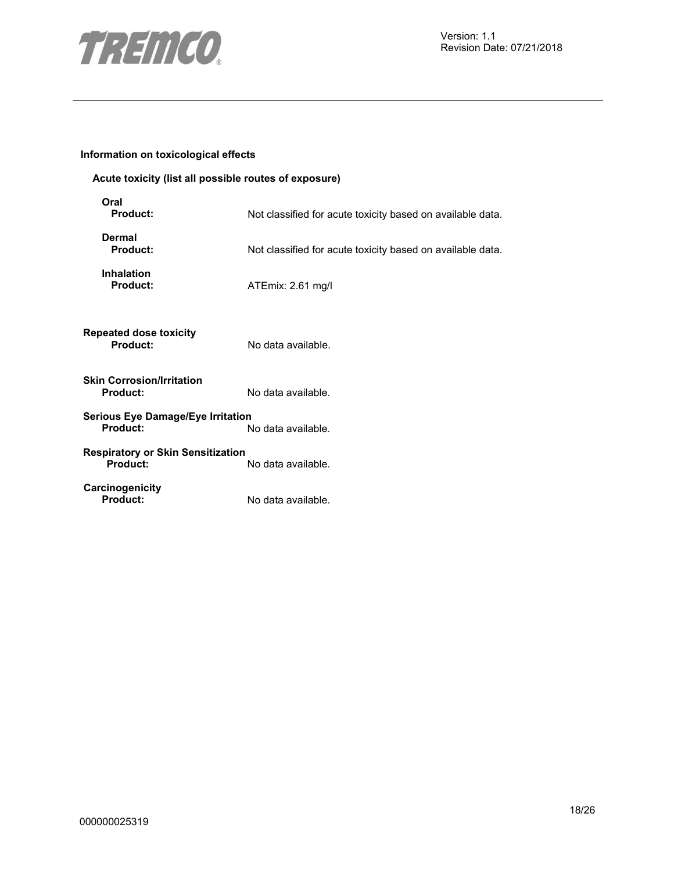

# **Information on toxicological effects**

# **Acute toxicity (list all possible routes of exposure)**

| Oral<br><b>Product:</b>                       | Not classified for acute toxicity based on available data. |
|-----------------------------------------------|------------------------------------------------------------|
| <b>Dermal</b><br>Product:                     | Not classified for acute toxicity based on available data. |
| <b>Inhalation</b><br>Product:                 | ATEmix: 2.61 mg/l                                          |
| <b>Repeated dose toxicity</b><br>Product:     | No data available.                                         |
| Skin Corrosion/Irritation<br><b>Product:</b>  | No data available.                                         |
| Serious Eye Damage/Eye Irritation<br>Product: | No data available.                                         |
| Respiratory or Skin Sensitization<br>Product: | No data available.                                         |
| Carcinogenicity<br><b>Product:</b>            | No data available.                                         |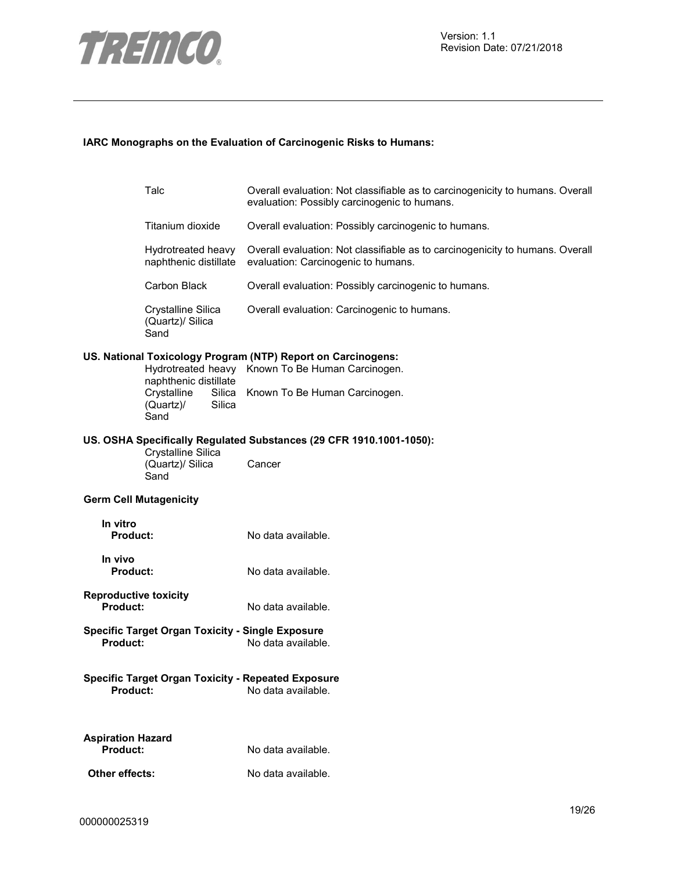

## **IARC Monographs on the Evaluation of Carcinogenic Risks to Humans:**

|                                                                                       | Talc                                           |  | Overall evaluation: Not classifiable as to carcinogenicity to humans. Overall<br>evaluation: Possibly carcinogenic to humans. |
|---------------------------------------------------------------------------------------|------------------------------------------------|--|-------------------------------------------------------------------------------------------------------------------------------|
|                                                                                       | Titanium dioxide                               |  | Overall evaluation: Possibly carcinogenic to humans.                                                                          |
|                                                                                       | Hydrotreated heavy<br>naphthenic distillate    |  | Overall evaluation: Not classifiable as to carcinogenicity to humans. Overall<br>evaluation: Carcinogenic to humans.          |
|                                                                                       | Carbon Black                                   |  | Overall evaluation: Possibly carcinogenic to humans.                                                                          |
|                                                                                       | Crystalline Silica<br>(Quartz)/ Silica<br>Sand |  | Overall evaluation: Carcinogenic to humans.                                                                                   |
| US. National Toxicology Program (NTP) Report on Carcinogens:<br>naphthenic distillate |                                                |  | Hydrotreated heavy Known To Be Human Carcinogen.                                                                              |
|                                                                                       | Crystalline<br>(Quartz)/<br>Silica<br>Sand     |  | Silica Known To Be Human Carcinogen.                                                                                          |
|                                                                                       | Crystalline Silica<br>(Quartz)/ Silica         |  | US. OSHA Specifically Regulated Substances (29 CFR 1910.1001-1050):<br>Cancer                                                 |
|                                                                                       | Sand                                           |  |                                                                                                                               |
| <b>Germ Cell Mutagenicity</b>                                                         |                                                |  |                                                                                                                               |
| In vitro<br><b>Product:</b>                                                           |                                                |  | No data available.                                                                                                            |
| In vivo<br><b>Product:</b>                                                            |                                                |  | No data available.                                                                                                            |
| <b>Reproductive toxicity</b><br>Product:                                              |                                                |  | No data available.                                                                                                            |
| <b>Product:</b>                                                                       |                                                |  | <b>Specific Target Organ Toxicity - Single Exposure</b><br>No data available.                                                 |
| Product:                                                                              |                                                |  | <b>Specific Target Organ Toxicity - Repeated Exposure</b><br>No data available.                                               |
| <b>Aspiration Hazard</b><br><b>Product:</b>                                           |                                                |  | No data available.                                                                                                            |
| Other effects:                                                                        |                                                |  | No data available.                                                                                                            |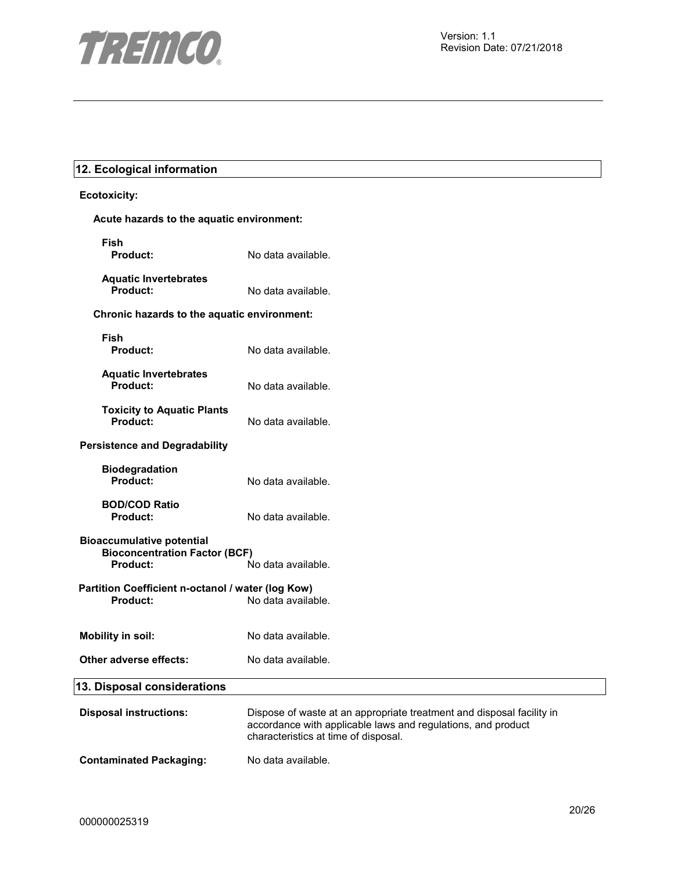

# **12. Ecological information**

# **Ecotoxicity:**

| Acute hazards to the aquatic environment:                                                   |                                                                                                                                                                               |
|---------------------------------------------------------------------------------------------|-------------------------------------------------------------------------------------------------------------------------------------------------------------------------------|
| Fish<br><b>Product:</b>                                                                     | No data available.                                                                                                                                                            |
| <b>Aquatic Invertebrates</b><br>Product:                                                    | No data available.                                                                                                                                                            |
| Chronic hazards to the aquatic environment:                                                 |                                                                                                                                                                               |
| Fish<br><b>Product:</b>                                                                     | No data available.                                                                                                                                                            |
| <b>Aquatic Invertebrates</b><br>Product:                                                    | No data available.                                                                                                                                                            |
| <b>Toxicity to Aquatic Plants</b><br><b>Product:</b>                                        | No data available.                                                                                                                                                            |
| <b>Persistence and Degradability</b>                                                        |                                                                                                                                                                               |
| <b>Biodegradation</b><br>Product:                                                           | No data available.                                                                                                                                                            |
| <b>BOD/COD Ratio</b><br>Product:                                                            | No data available.                                                                                                                                                            |
| <b>Bioaccumulative potential</b><br><b>Bioconcentration Factor (BCF)</b><br><b>Product:</b> | No data available.                                                                                                                                                            |
| Partition Coefficient n-octanol / water (log Kow)<br>Product:                               | No data available.                                                                                                                                                            |
| <b>Mobility in soil:</b>                                                                    | No data available.                                                                                                                                                            |
| Other adverse effects:                                                                      | No data available.                                                                                                                                                            |
| 13. Disposal considerations                                                                 |                                                                                                                                                                               |
| <b>Disposal instructions:</b>                                                               | Dispose of waste at an appropriate treatment and disposal facility in<br>accordance with applicable laws and regulations, and product<br>characteristics at time of disposal. |
| <b>Contaminated Packaging:</b>                                                              | No data available.                                                                                                                                                            |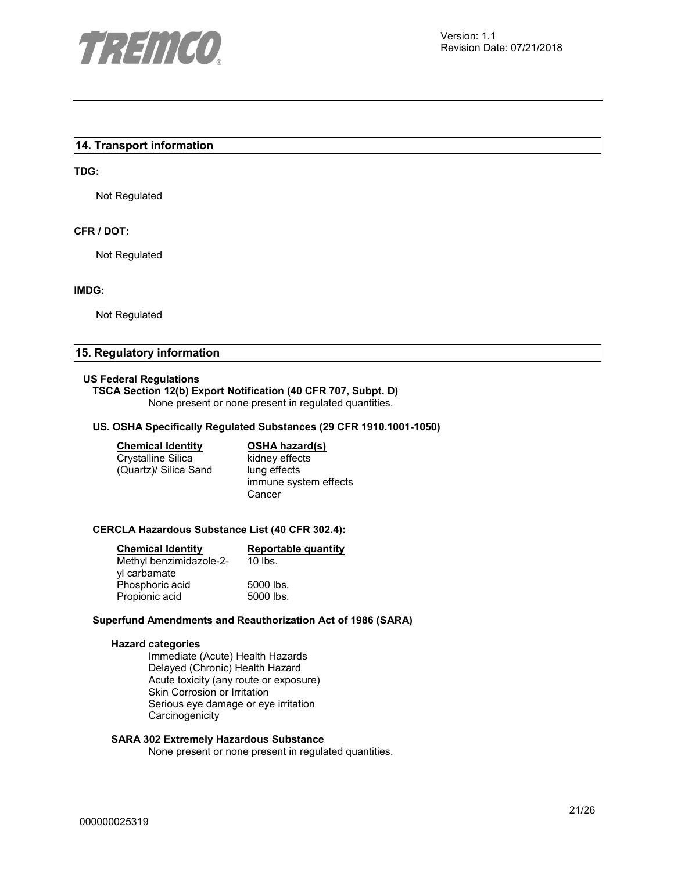

## **14. Transport information**

#### **TDG:**

Not Regulated

# **CFR / DOT:**

Not Regulated

#### **IMDG:**

Not Regulated

#### **15. Regulatory information**

#### **US Federal Regulations**

#### **TSCA Section 12(b) Export Notification (40 CFR 707, Subpt. D)**

None present or none present in regulated quantities.

#### **US. OSHA Specifically Regulated Substances (29 CFR 1910.1001-1050)**

| <b>Chemical Identity</b> |  |
|--------------------------|--|
| Crystalline Silica       |  |

(Quartz)/ Silica Sand

**OSHA hazard(s)** kidney effects lung effects immune system effects Cancer

#### **CERCLA Hazardous Substance List (40 CFR 302.4):**

| <b>Chemical Identity</b> | Reportable quantity |
|--------------------------|---------------------|
| Methyl benzimidazole-2-  | $10$ lbs.           |
| yl carbamate             |                     |
| Phosphoric acid          | 5000 lbs.           |
| Propionic acid           | 5000 lbs.           |

#### **Superfund Amendments and Reauthorization Act of 1986 (SARA)**

#### **Hazard categories**

Immediate (Acute) Health Hazards Delayed (Chronic) Health Hazard Acute toxicity (any route or exposure) Skin Corrosion or Irritation Serious eye damage or eye irritation **Carcinogenicity** 

#### **SARA 302 Extremely Hazardous Substance**

None present or none present in regulated quantities.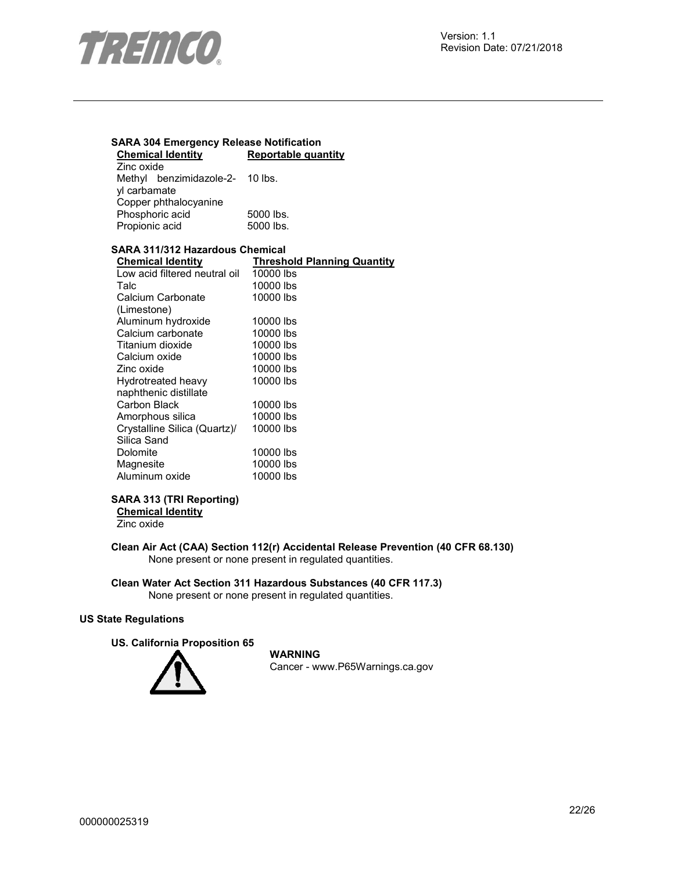

## **SARA 304 Emergency Release Notification Chemical Identity Reportable quantity**

| Zinc oxide            |                                 |           |
|-----------------------|---------------------------------|-----------|
|                       | Methyl benzimidazole-2- 10 lbs. |           |
| yl carbamate          |                                 |           |
| Copper phthalocyanine |                                 |           |
|                       | Phosphoric acid                 | 5000 lbs. |
| Propionic acid        |                                 | 5000 lbs. |

# **SARA 311/312 Hazardous Chemical**

| <b>Chemical Identity</b>      | <b>Threshold Planning Quantity</b> |
|-------------------------------|------------------------------------|
| Low acid filtered neutral oil | 10000 lbs                          |
| Talc                          | 10000 lbs                          |
| Calcium Carbonate             | 10000 lbs                          |
| (Limestone)                   |                                    |
| Aluminum hydroxide            | 10000 lbs                          |
| Calcium carbonate             | 10000 lbs                          |
| Titanium dioxide              | 10000 lbs                          |
| Calcium oxide                 | 10000 lbs                          |
| Zinc oxide                    | 10000 lbs                          |
| Hydrotreated heavy            | 10000 lbs                          |
| naphthenic distillate         |                                    |
| Carbon Black                  | 10000 lbs                          |
| Amorphous silica              | 10000 lbs                          |
| Crystalline Silica (Quartz)/  | 10000 lbs                          |
| Silica Sand                   |                                    |
| Dolomite                      | 10000 lbs                          |
| Magnesite                     | 10000 lbs                          |
| Aluminum oxide                | 10000 lbs                          |

# **SARA 313 (TRI Reporting)**

**Chemical Identity** Zinc oxide

**Clean Air Act (CAA) Section 112(r) Accidental Release Prevention (40 CFR 68.130)**  None present or none present in regulated quantities.

### **Clean Water Act Section 311 Hazardous Substances (40 CFR 117.3)**  None present or none present in regulated quantities.

#### **US State Regulations**

**US. California Proposition 65** 



**WARNING** Cancer - www.P65Warnings.ca.gov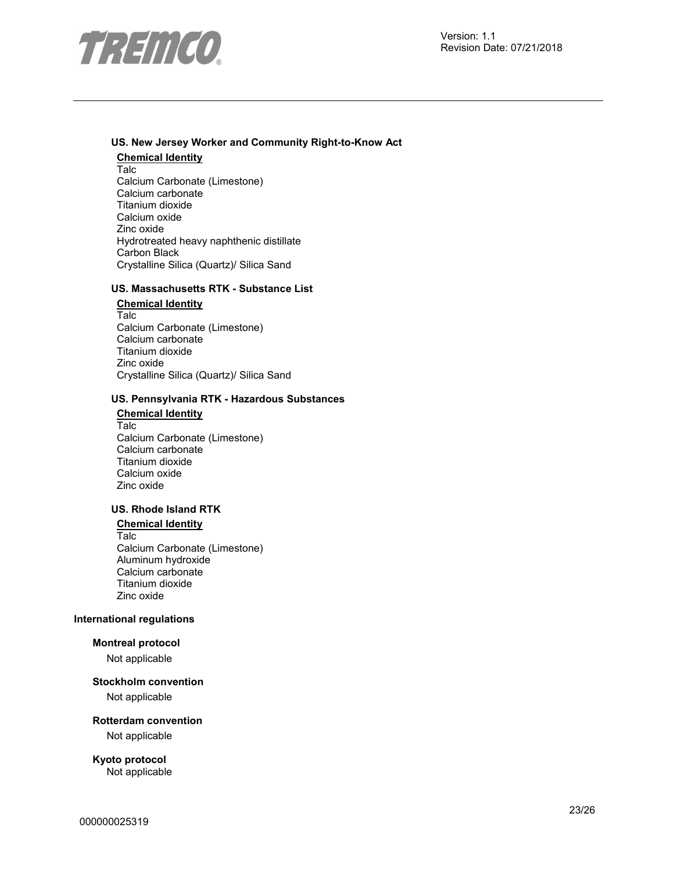

#### **US. New Jersey Worker and Community Right-to-Know Act**

**Chemical Identity** Talc Calcium Carbonate (Limestone) Calcium carbonate Titanium dioxide Calcium oxide Zinc oxide Hydrotreated heavy naphthenic distillate Carbon Black Crystalline Silica (Quartz)/ Silica Sand

# **US. Massachusetts RTK - Substance List**

**Chemical Identity** Talc Calcium Carbonate (Limestone) Calcium carbonate Titanium dioxide Zinc oxide Crystalline Silica (Quartz)/ Silica Sand

### **US. Pennsylvania RTK - Hazardous Substances**

**Chemical Identity** Talc Calcium Carbonate (Limestone) Calcium carbonate Titanium dioxide Calcium oxide Zinc oxide

# **US. Rhode Island RTK**

**Chemical Identity** Talc Calcium Carbonate (Limestone) Aluminum hydroxide Calcium carbonate Titanium dioxide Zinc oxide

#### **International regulations**

## **Montreal protocol**

Not applicable

#### **Stockholm convention**

Not applicable

#### **Rotterdam convention**

Not applicable

**Kyoto protocol**  Not applicable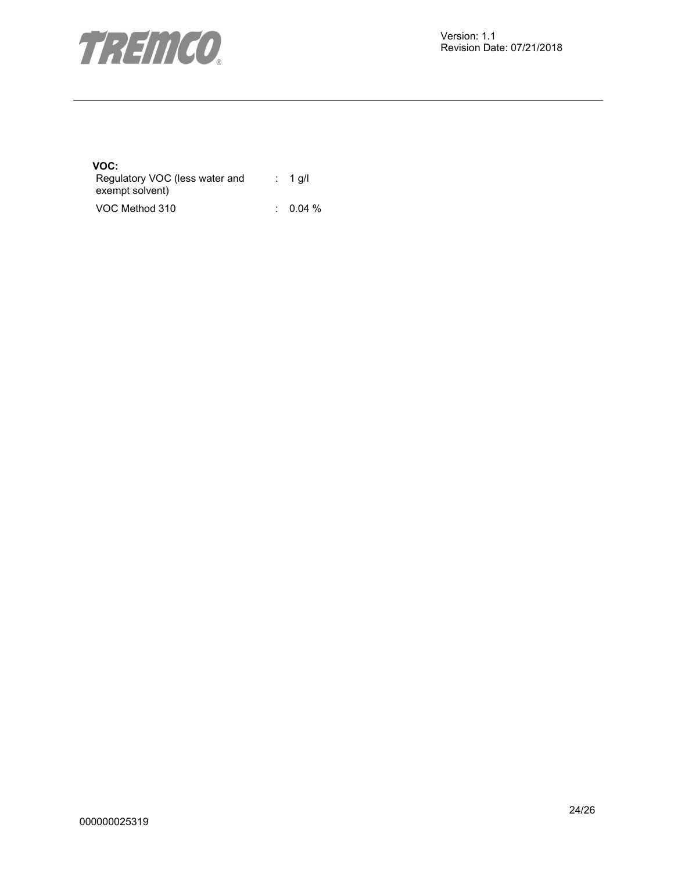

# **VOC:**

| Regulatory VOC (less water and | $: 1$ q/l           |
|--------------------------------|---------------------|
| exempt solvent)                |                     |
| VOC Method 310                 | $\therefore$ 0.04 % |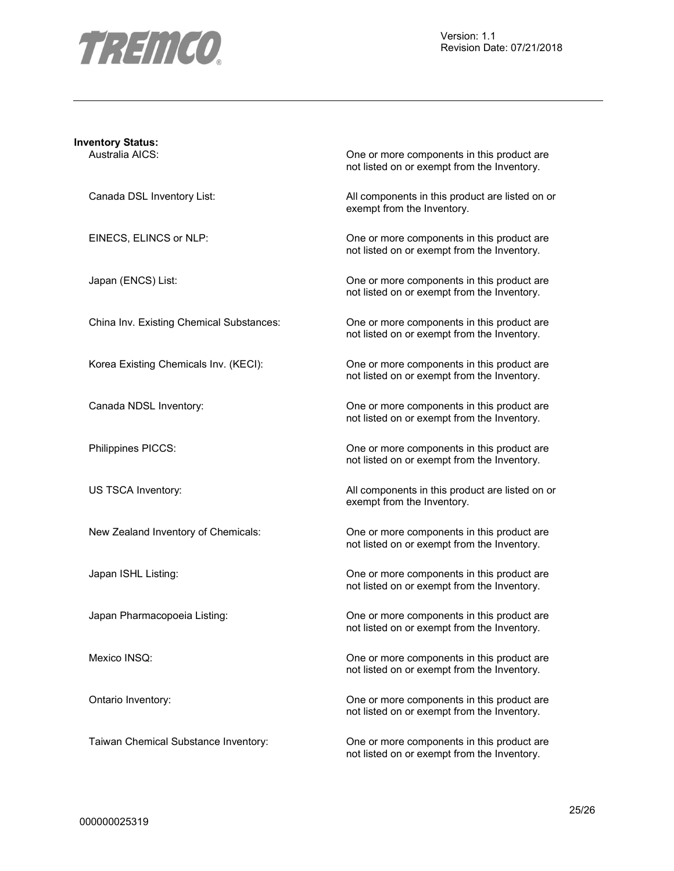

| <b>Inventory Status:</b> |                                          |                                                                                           |
|--------------------------|------------------------------------------|-------------------------------------------------------------------------------------------|
| Australia AICS:          |                                          | One or more components in this product are<br>not listed on or exempt from the Inventory. |
|                          | Canada DSL Inventory List:               | All components in this product are listed on or<br>exempt from the Inventory.             |
| EINECS, ELINCS or NLP:   |                                          | One or more components in this product are<br>not listed on or exempt from the Inventory. |
| Japan (ENCS) List:       |                                          | One or more components in this product are<br>not listed on or exempt from the Inventory. |
|                          | China Inv. Existing Chemical Substances: | One or more components in this product are<br>not listed on or exempt from the Inventory. |
|                          | Korea Existing Chemicals Inv. (KECI):    | One or more components in this product are<br>not listed on or exempt from the Inventory. |
| Canada NDSL Inventory:   |                                          | One or more components in this product are<br>not listed on or exempt from the Inventory. |
| Philippines PICCS:       |                                          | One or more components in this product are<br>not listed on or exempt from the Inventory. |
| US TSCA Inventory:       |                                          | All components in this product are listed on or<br>exempt from the Inventory.             |
|                          | New Zealand Inventory of Chemicals:      | One or more components in this product are<br>not listed on or exempt from the Inventory. |
| Japan ISHL Listing:      |                                          | One or more components in this product are<br>not listed on or exempt from the Inventory. |
|                          | Japan Pharmacopoeia Listing:             | One or more components in this product are<br>not listed on or exempt from the Inventory. |
| Mexico INSQ:             |                                          | One or more components in this product are<br>not listed on or exempt from the Inventory. |
| Ontario Inventory:       |                                          | One or more components in this product are<br>not listed on or exempt from the Inventory. |
|                          | Taiwan Chemical Substance Inventory:     | One or more components in this product are<br>not listed on or exempt from the Inventory. |